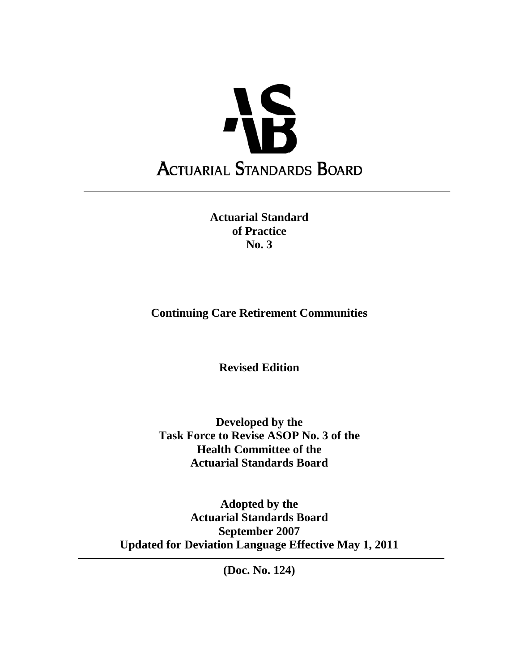

**Actuarial Standard of Practice No. 3**

**Continuing Care Retirement Communities** 

**Revised Edition** 

**Developed by the Task Force to Revise ASOP No. 3 of the Health Committee of the Actuarial Standards Board** 

**Adopted by the Actuarial Standards Board September 2007 Updated for Deviation Language Effective May 1, 2011** 

**(Doc. No. 124)**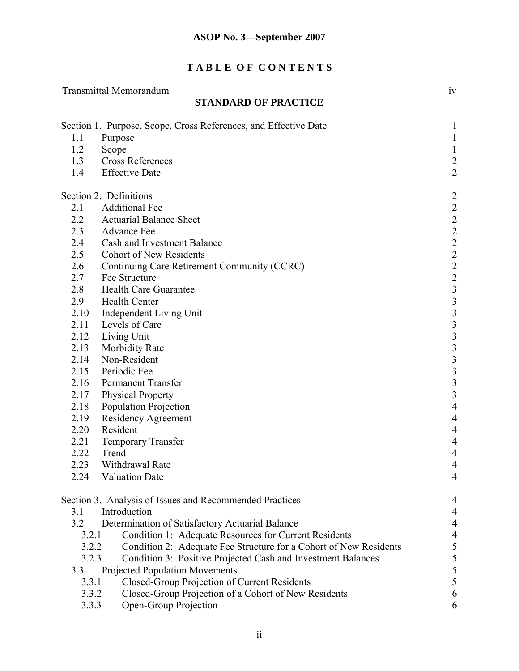# **T A B L E O F C O N T E N T S**

| <b>Transmittal Memorandum</b><br>iv |                                                                   |                                            |
|-------------------------------------|-------------------------------------------------------------------|--------------------------------------------|
|                                     | <b>STANDARD OF PRACTICE</b>                                       |                                            |
|                                     | Section 1. Purpose, Scope, Cross References, and Effective Date   | $\mathbf{1}$                               |
| 1.1                                 | Purpose                                                           | $\mathbf{1}$                               |
| 1.2                                 | Scope                                                             | $\mathbf{1}$                               |
| 1.3                                 | <b>Cross References</b>                                           | $\frac{2}{2}$                              |
| 1.4                                 | <b>Effective Date</b>                                             |                                            |
|                                     | Section 2. Definitions                                            | $\overline{2}$                             |
| 2.1                                 | <b>Additional Fee</b>                                             | $\overline{c}$                             |
| $2.2\,$                             | <b>Actuarial Balance Sheet</b>                                    |                                            |
| 2.3                                 | Advance Fee                                                       |                                            |
| 2.4                                 | Cash and Investment Balance                                       |                                            |
| 2.5                                 | <b>Cohort of New Residents</b>                                    | $2$ 2 2 2 2 2 3 3                          |
| 2.6                                 | Continuing Care Retirement Community (CCRC)                       |                                            |
| 2.7                                 | Fee Structure                                                     |                                            |
| 2.8                                 | <b>Health Care Guarantee</b>                                      |                                            |
| 2.9                                 | <b>Health Center</b>                                              | $\begin{array}{c} 3 \\ 3 \\ 3 \end{array}$ |
| 2.10                                | Independent Living Unit                                           |                                            |
| 2.11                                | Levels of Care                                                    |                                            |
| 2.12                                | Living Unit                                                       | 3                                          |
| 2.13<br>2.14                        | <b>Morbidity Rate</b><br>Non-Resident                             | $\frac{3}{3}$                              |
| 2.15                                | Periodic Fee                                                      | $\overline{\mathbf{3}}$                    |
| 2.16                                | Permanent Transfer                                                |                                            |
| 2.17                                | <b>Physical Property</b>                                          | $\frac{3}{3}$                              |
| 2.18                                | Population Projection                                             | $\overline{4}$                             |
| 2.19                                | Residency Agreement                                               | $\overline{4}$                             |
| 2.20                                | Resident                                                          | $\overline{4}$                             |
| 2.21                                | <b>Temporary Transfer</b>                                         | $\overline{4}$                             |
| 2.22                                | Trend                                                             | $\overline{4}$                             |
| 2.23                                | Withdrawal Rate                                                   | $\overline{4}$                             |
| 2.24                                | <b>Valuation Date</b>                                             | 4                                          |
|                                     | Section 3. Analysis of Issues and Recommended Practices           | 4                                          |
| 3.1                                 | Introduction                                                      | 4                                          |
| 3.2                                 | Determination of Satisfactory Actuarial Balance                   | $\overline{4}$                             |
| 3.2.1                               | Condition 1: Adequate Resources for Current Residents             | $\overline{4}$                             |
| 3.2.2                               | Condition 2: Adequate Fee Structure for a Cohort of New Residents |                                            |
| 3.2.3                               | Condition 3: Positive Projected Cash and Investment Balances      | $\frac{5}{5}$                              |
| 3.3                                 | Projected Population Movements                                    | 5                                          |
| 3.3.1                               | Closed-Group Projection of Current Residents                      | 5                                          |
| 3.3.2                               | Closed-Group Projection of a Cohort of New Residents              | 6                                          |
| 3.3.3                               | Open-Group Projection                                             | 6                                          |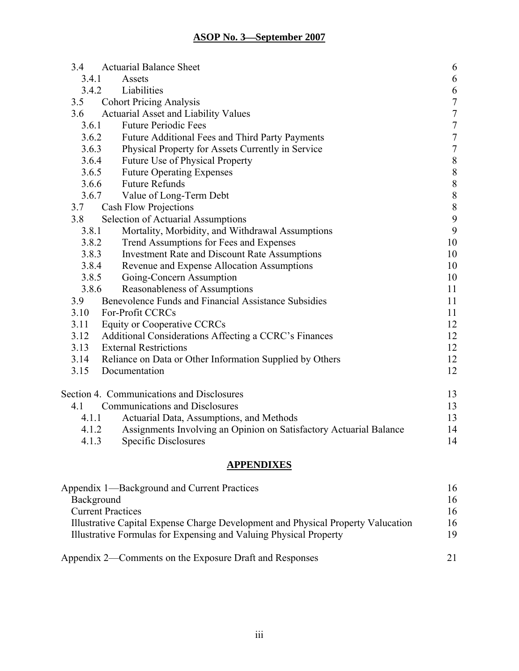| 3.4               | <b>Actuarial Balance Sheet</b>                                     | 6                                     |
|-------------------|--------------------------------------------------------------------|---------------------------------------|
| 3.4.1             | Assets                                                             | 6                                     |
| 3.4.2             | Liabilities                                                        | 6                                     |
| 3.5               | <b>Cohort Pricing Analysis</b>                                     | $\begin{array}{c} 7 \end{array}$      |
| 3.6               | <b>Actuarial Asset and Liability Values</b>                        | $\overline{7}$                        |
| 3.6.1             | <b>Future Periodic Fees</b>                                        | $\overline{7}$                        |
| 3.6.2             | Future Additional Fees and Third Party Payments                    | $\overline{7}$                        |
| 3.6.3             | Physical Property for Assets Currently in Service                  | $\overline{7}$                        |
| 3.6.4             | Future Use of Physical Property                                    | $\,$ $\,$                             |
| 3.6.5             | <b>Future Operating Expenses</b>                                   |                                       |
| 3.6.6             | <b>Future Refunds</b>                                              | $\begin{array}{c} 8 \\ 8 \end{array}$ |
| 3.6.7             | Value of Long-Term Debt                                            | 8                                     |
| 3.7               | <b>Cash Flow Projections</b>                                       | $\,$ $\,$                             |
| 3.8               | Selection of Actuarial Assumptions                                 | 9                                     |
| 3.8.1             | Mortality, Morbidity, and Withdrawal Assumptions                   | 9                                     |
| 3.8.2             | Trend Assumptions for Fees and Expenses                            | 10                                    |
| 3.8.3             | <b>Investment Rate and Discount Rate Assumptions</b>               | 10                                    |
| 3.8.4             | Revenue and Expense Allocation Assumptions                         | 10                                    |
| 3.8.5             | Going-Concern Assumption                                           | 10                                    |
| 3.8.6             | Reasonableness of Assumptions                                      | 11                                    |
| 3.9               | Benevolence Funds and Financial Assistance Subsidies               | 11                                    |
| 3.10              | For-Profit CCRCs                                                   | 11                                    |
| 3.11              | <b>Equity or Cooperative CCRCs</b>                                 | 12                                    |
| 3.12              | Additional Considerations Affecting a CCRC's Finances              | 12                                    |
| 3.13              | <b>External Restrictions</b>                                       | 12                                    |
| 3.14              | Reliance on Data or Other Information Supplied by Others           | 12                                    |
| 3.15              | Documentation                                                      | 12                                    |
|                   | Section 4. Communications and Disclosures                          | 13                                    |
| 4.1               | <b>Communications and Disclosures</b>                              | 13                                    |
| 4.1.1             | Actuarial Data, Assumptions, and Methods                           | 13                                    |
| 4.1.2             | Assignments Involving an Opinion on Satisfactory Actuarial Balance | 14                                    |
| 4.1.3             | <b>Specific Disclosures</b>                                        | 14                                    |
| <b>APPENDIXES</b> |                                                                    |                                       |

| Appendix 1—Background and Current Practices                                      | 16 |
|----------------------------------------------------------------------------------|----|
| Background                                                                       | 16 |
| <b>Current Practices</b>                                                         | 16 |
| Illustrative Capital Expense Charge Development and Physical Property Valucation | 16 |
| Illustrative Formulas for Expensing and Valuing Physical Property                | 19 |
| Appendix 2—Comments on the Exposure Draft and Responses                          |    |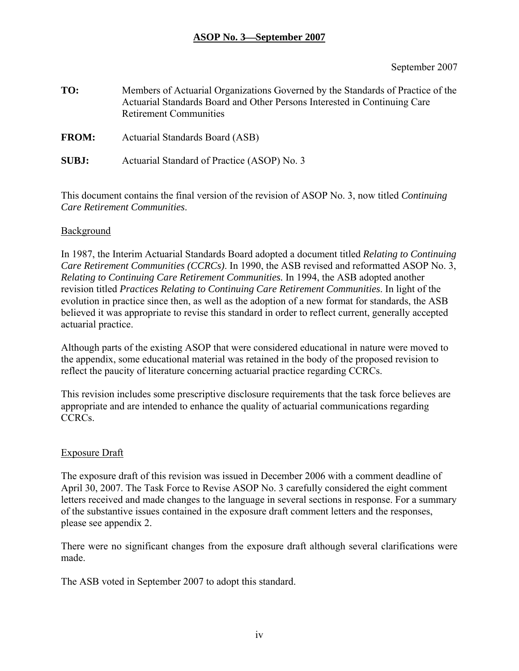#### September 2007

| TO:          | Members of Actuarial Organizations Governed by the Standards of Practice of the<br>Actuarial Standards Board and Other Persons Interested in Continuing Care<br><b>Retirement Communities</b> |
|--------------|-----------------------------------------------------------------------------------------------------------------------------------------------------------------------------------------------|
| <b>FROM:</b> | Actuarial Standards Board (ASB)                                                                                                                                                               |
| <b>SUBJ:</b> | Actuarial Standard of Practice (ASOP) No. 3                                                                                                                                                   |

This document contains the final version of the revision of ASOP No. 3, now titled *Continuing Care Retirement Communities*.

#### Background

In 1987, the Interim Actuarial Standards Board adopted a document titled *Relating to Continuing Care Retirement Communities (CCRCs)*. In 1990, the ASB revised and reformatted ASOP No. 3, *Relating to Continuing Care Retirement Communities.* In 1994, the ASB adopted another revision titled *Practices Relating to Continuing Care Retirement Communities*. In light of the evolution in practice since then, as well as the adoption of a new format for standards, the ASB believed it was appropriate to revise this standard in order to reflect current, generally accepted actuarial practice.

Although parts of the existing ASOP that were considered educational in nature were moved to the appendix, some educational material was retained in the body of the proposed revision to reflect the paucity of literature concerning actuarial practice regarding CCRCs.

This revision includes some prescriptive disclosure requirements that the task force believes are appropriate and are intended to enhance the quality of actuarial communications regarding CCRCs.

#### Exposure Draft

The exposure draft of this revision was issued in December 2006 with a comment deadline of April 30, 2007. The Task Force to Revise ASOP No. 3 carefully considered the eight comment letters received and made changes to the language in several sections in response. For a summary of the substantive issues contained in the exposure draft comment letters and the responses, please see appendix 2.

 There were no significant changes from the exposure draft although several clarifications were made.

The ASB voted in September 2007 to adopt this standard.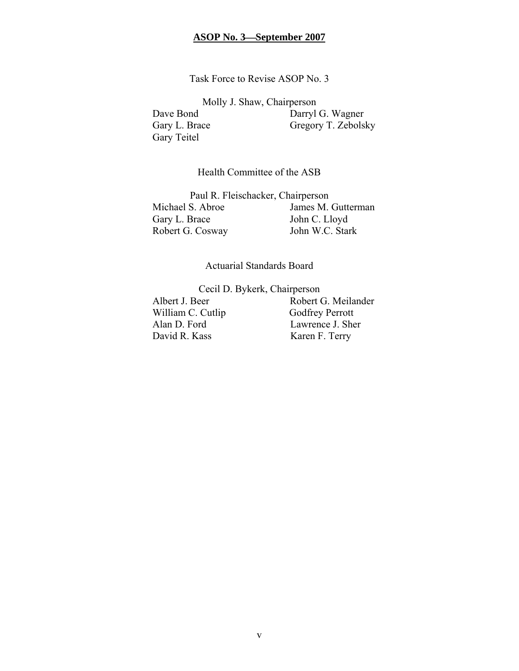Task Force to Revise ASOP No. 3

Molly J. Shaw, Chairperson Dave Bond Darryl G. Wagner Gary L. Brace Gregory T. Zebolsky Gary Teitel

#### Health Committee of the ASB

Paul R. Fleischacker, Chairperson Michael S. Abroe James M. Gutterman Gary L. Brace John C. Lloyd<br>Robert G. Cosway John W.C. Stark Robert G. Cosway

#### Actuarial Standards Board

Cecil D. Bykerk, Chairperson

William C. Cutlip Godfrey Perrott David R. Kass Karen F. Terry

Albert J. Beer Robert G. Meilander Alan D. Ford Lawrence J. Sher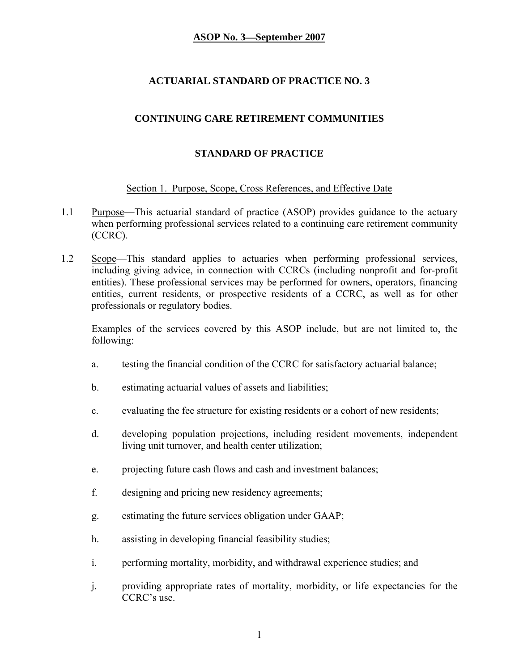## **ACTUARIAL STANDARD OF PRACTICE NO. 3**

## **CONTINUING CARE RETIREMENT COMMUNITIES**

## **STANDARD OF PRACTICE**

#### Section 1. Purpose, Scope, Cross References, and Effective Date

- 1.1 Purpose—This actuarial standard of practice (ASOP) provides guidance to the actuary when performing professional services related to a continuing care retirement community (CCRC).
- 1.2 Scope—This standard applies to actuaries when performing professional services, including giving advice, in connection with CCRCs (including nonprofit and for-profit entities). These professional services may be performed for owners, operators, financing entities, current residents, or prospective residents of a CCRC, as well as for other professionals or regulatory bodies.

 Examples of the services covered by this ASOP include, but are not limited to, the following:

- a. testing the financial condition of the CCRC for satisfactory actuarial balance;
- b. estimating actuarial values of assets and liabilities;
- c. evaluating the fee structure for existing residents or a cohort of new residents;
- d. developing population projections, including resident movements, independent living unit turnover, and health center utilization;
- e. projecting future cash flows and cash and investment balances;
- f. designing and pricing new residency agreements;
- g. estimating the future services obligation under GAAP;
- h. assisting in developing financial feasibility studies;
- i. performing mortality, morbidity, and withdrawal experience studies; and
- j. providing appropriate rates of mortality, morbidity, or life expectancies for the CCRC's use.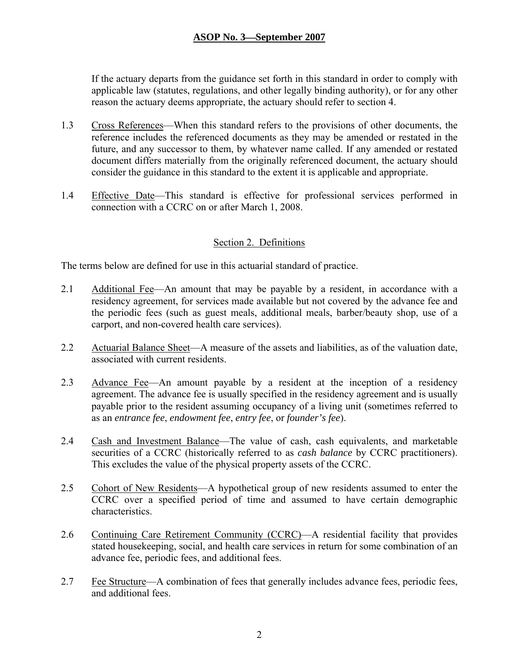If the actuary departs from the guidance set forth in this standard in order to comply with applicable law (statutes, regulations, and other legally binding authority), or for any other reason the actuary deems appropriate, the actuary should refer to section 4.

- 1.3 Cross References—When this standard refers to the provisions of other documents, the reference includes the referenced documents as they may be amended or restated in the future, and any successor to them, by whatever name called. If any amended or restated document differs materially from the originally referenced document, the actuary should consider the guidance in this standard to the extent it is applicable and appropriate.
- 1.4 Effective Date—This standard is effective for professional services performed in connection with a CCRC on or after March 1, 2008.

#### Section 2. Definitions

The terms below are defined for use in this actuarial standard of practice.

- 2.1 Additional Fee—An amount that may be payable by a resident, in accordance with a residency agreement, for services made available but not covered by the advance fee and the periodic fees (such as guest meals, additional meals, barber/beauty shop, use of a carport, and non-covered health care services).
- 2.2 Actuarial Balance Sheet—A measure of the assets and liabilities, as of the valuation date, associated with current residents.
- 2.3 Advance Fee—An amount payable by a resident at the inception of a residency agreement. The advance fee is usually specified in the residency agreement and is usually payable prior to the resident assuming occupancy of a living unit (sometimes referred to as an *entrance fee*, *endowment fee*, *entry fee*, or *founder's fee*).
- 2.4 Cash and Investment Balance—The value of cash, cash equivalents, and marketable securities of a CCRC (historically referred to as *cash balance* by CCRC practitioners). This excludes the value of the physical property assets of the CCRC.
- 2.5 Cohort of New Residents—A hypothetical group of new residents assumed to enter the CCRC over a specified period of time and assumed to have certain demographic characteristics.
- 2.6 Continuing Care Retirement Community (CCRC)—A residential facility that provides stated housekeeping, social, and health care services in return for some combination of an advance fee, periodic fees, and additional fees.
- 2.7 Fee Structure—A combination of fees that generally includes advance fees, periodic fees, and additional fees.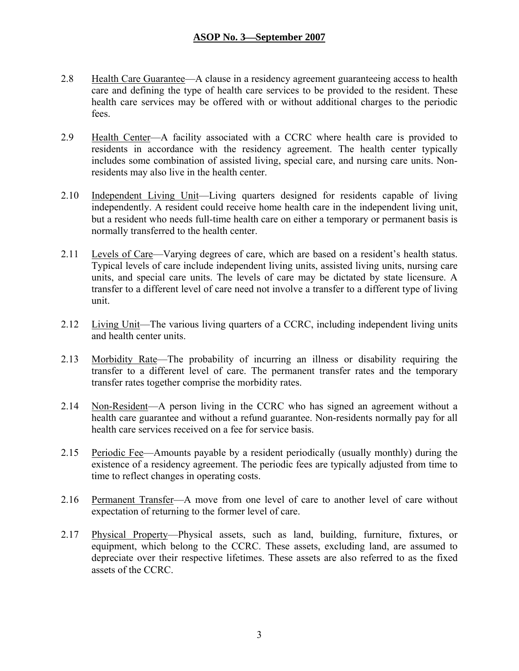- 2.8 Health Care Guarantee—A clause in a residency agreement guaranteeing access to health care and defining the type of health care services to be provided to the resident. These health care services may be offered with or without additional charges to the periodic fees.
- 2.9 Health Center—A facility associated with a CCRC where health care is provided to residents in accordance with the residency agreement. The health center typically includes some combination of assisted living, special care, and nursing care units. Nonresidents may also live in the health center.
- 2.10 Independent Living Unit—Living quarters designed for residents capable of living independently. A resident could receive home health care in the independent living unit, but a resident who needs full-time health care on either a temporary or permanent basis is normally transferred to the health center.
- 2.11 Levels of Care—Varying degrees of care, which are based on a resident's health status. Typical levels of care include independent living units, assisted living units, nursing care units, and special care units. The levels of care may be dictated by state licensure. A transfer to a different level of care need not involve a transfer to a different type of living unit.
- 2.12 Living Unit—The various living quarters of a CCRC, including independent living units and health center units.
- 2.13 Morbidity Rate—The probability of incurring an illness or disability requiring the transfer to a different level of care. The permanent transfer rates and the temporary transfer rates together comprise the morbidity rates.
- 2.14 Non-Resident—A person living in the CCRC who has signed an agreement without a health care guarantee and without a refund guarantee. Non-residents normally pay for all health care services received on a fee for service basis.
- 2.15 Periodic Fee—Amounts payable by a resident periodically (usually monthly) during the existence of a residency agreement. The periodic fees are typically adjusted from time to time to reflect changes in operating costs.
- 2.16 Permanent Transfer—A move from one level of care to another level of care without expectation of returning to the former level of care.
- 2.17 Physical Property—Physical assets, such as land, building, furniture, fixtures, or equipment, which belong to the CCRC. These assets, excluding land, are assumed to depreciate over their respective lifetimes. These assets are also referred to as the fixed assets of the CCRC.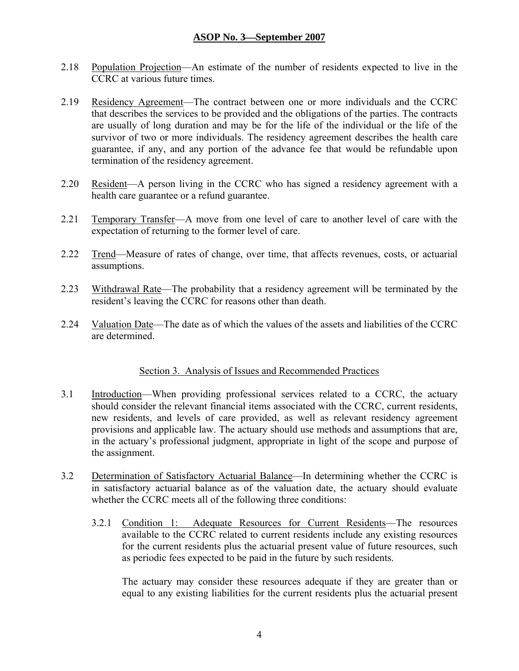- 2.18 Population Projection—An estimate of the number of residents expected to live in the CCRC at various future times.
- 2.19 Residency Agreement—The contract between one or more individuals and the CCRC that describes the services to be provided and the obligations of the parties. The contracts are usually of long duration and may be for the life of the individual or the life of the survivor of two or more individuals. The residency agreement describes the health care guarantee, if any, and any portion of the advance fee that would be refundable upon termination of the residency agreement.
- 2.20 Resident—A person living in the CCRC who has signed a residency agreement with a health care guarantee or a refund guarantee.
- 2.21 Temporary Transfer—A move from one level of care to another level of care with the expectation of returning to the former level of care.
- 2.22 Trend—Measure of rates of change, over time, that affects revenues, costs, or actuarial assumptions.
- 2.23 Withdrawal Rate—The probability that a residency agreement will be terminated by the resident's leaving the CCRC for reasons other than death.
- 2.24 Valuation Date—The date as of which the values of the assets and liabilities of the CCRC are determined.

#### Section 3. Analysis of Issues and Recommended Practices

- 3.1 Introduction—When providing professional services related to a CCRC, the actuary should consider the relevant financial items associated with the CCRC, current residents, new residents, and levels of care provided, as well as relevant residency agreement provisions and applicable law. The actuary should use methods and assumptions that are, in the actuary's professional judgment, appropriate in light of the scope and purpose of the assignment.
- 3.2 Determination of Satisfactory Actuarial Balance—In determining whether the CCRC is in satisfactory actuarial balance as of the valuation date, the actuary should evaluate whether the CCRC meets all of the following three conditions:
	- 3.2.1 Condition 1: Adequate Resources for Current Residents—The resources available to the CCRC related to current residents include any existing resources for the current residents plus the actuarial present value of future resources, such as periodic fees expected to be paid in the future by such residents.

The actuary may consider these resources adequate if they are greater than or equal to any existing liabilities for the current residents plus the actuarial present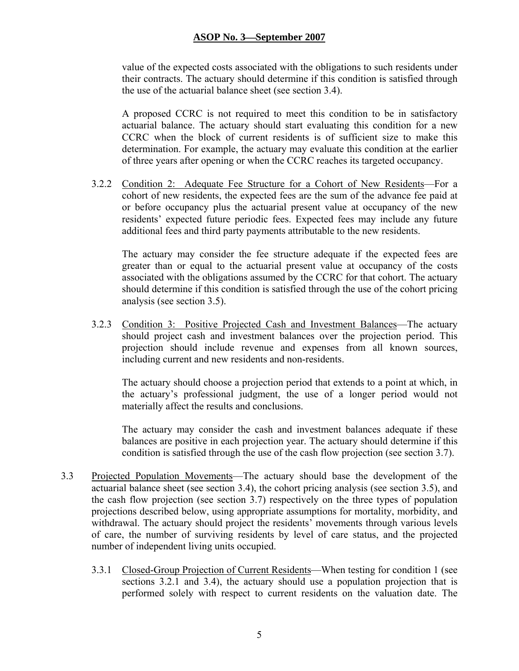value of the expected costs associated with the obligations to such residents under their contracts. The actuary should determine if this condition is satisfied through the use of the actuarial balance sheet (see section 3.4).

A proposed CCRC is not required to meet this condition to be in satisfactory actuarial balance. The actuary should start evaluating this condition for a new CCRC when the block of current residents is of sufficient size to make this determination. For example, the actuary may evaluate this condition at the earlier of three years after opening or when the CCRC reaches its targeted occupancy.

3.2.2 Condition 2: Adequate Fee Structure for a Cohort of New Residents—For a cohort of new residents, the expected fees are the sum of the advance fee paid at or before occupancy plus the actuarial present value at occupancy of the new residents' expected future periodic fees. Expected fees may include any future additional fees and third party payments attributable to the new residents.

The actuary may consider the fee structure adequate if the expected fees are greater than or equal to the actuarial present value at occupancy of the costs associated with the obligations assumed by the CCRC for that cohort. The actuary should determine if this condition is satisfied through the use of the cohort pricing analysis (see section 3.5).

3.2.3 Condition 3: Positive Projected Cash and Investment Balances—The actuary should project cash and investment balances over the projection period. This projection should include revenue and expenses from all known sources, including current and new residents and non-residents.

The actuary should choose a projection period that extends to a point at which, in the actuary's professional judgment, the use of a longer period would not materially affect the results and conclusions.

The actuary may consider the cash and investment balances adequate if these balances are positive in each projection year. The actuary should determine if this condition is satisfied through the use of the cash flow projection (see section 3.7).

- 3.3 Projected Population Movements—The actuary should base the development of the actuarial balance sheet (see section 3.4), the cohort pricing analysis (see section 3.5), and the cash flow projection (see section 3.7) respectively on the three types of population projections described below, using appropriate assumptions for mortality, morbidity, and withdrawal. The actuary should project the residents' movements through various levels of care, the number of surviving residents by level of care status, and the projected number of independent living units occupied.
	- 3.3.1 Closed-Group Projection of Current Residents—When testing for condition 1 (see sections 3.2.1 and 3.4), the actuary should use a population projection that is performed solely with respect to current residents on the valuation date. The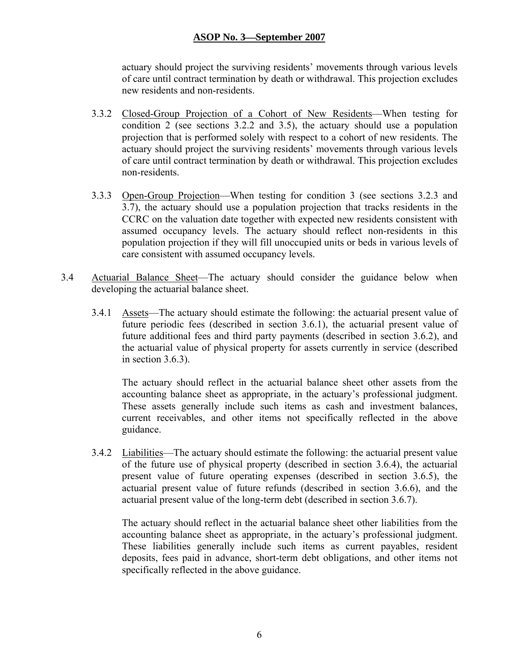actuary should project the surviving residents' movements through various levels of care until contract termination by death or withdrawal. This projection excludes new residents and non-residents.

- 3.3.2 Closed-Group Projection of a Cohort of New Residents—When testing for condition 2 (see sections 3.2.2 and 3.5), the actuary should use a population projection that is performed solely with respect to a cohort of new residents. The actuary should project the surviving residents' movements through various levels of care until contract termination by death or withdrawal. This projection excludes non-residents.
- 3.3.3 Open-Group Projection—When testing for condition 3 (see sections 3.2.3 and 3.7), the actuary should use a population projection that tracks residents in the CCRC on the valuation date together with expected new residents consistent with assumed occupancy levels. The actuary should reflect non-residents in this population projection if they will fill unoccupied units or beds in various levels of care consistent with assumed occupancy levels.
- 3.4 Actuarial Balance Sheet—The actuary should consider the guidance below when developing the actuarial balance sheet.
	- 3.4.1 Assets—The actuary should estimate the following: the actuarial present value of future periodic fees (described in section 3.6.1), the actuarial present value of future additional fees and third party payments (described in section 3.6.2), and the actuarial value of physical property for assets currently in service (described in section 3.6.3).

The actuary should reflect in the actuarial balance sheet other assets from the accounting balance sheet as appropriate, in the actuary's professional judgment. These assets generally include such items as cash and investment balances, current receivables, and other items not specifically reflected in the above guidance.

3.4.2 Liabilities—The actuary should estimate the following: the actuarial present value of the future use of physical property (described in section 3.6.4), the actuarial present value of future operating expenses (described in section 3.6.5), the actuarial present value of future refunds (described in section 3.6.6), and the actuarial present value of the long-term debt (described in section 3.6.7).

The actuary should reflect in the actuarial balance sheet other liabilities from the accounting balance sheet as appropriate, in the actuary's professional judgment. These liabilities generally include such items as current payables, resident deposits, fees paid in advance, short-term debt obligations, and other items not specifically reflected in the above guidance.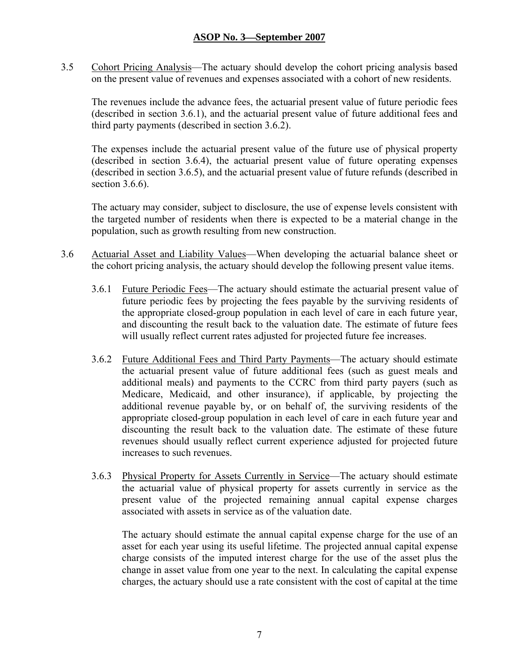3.5 Cohort Pricing Analysis—The actuary should develop the cohort pricing analysis based on the present value of revenues and expenses associated with a cohort of new residents.

The revenues include the advance fees, the actuarial present value of future periodic fees (described in section 3.6.1), and the actuarial present value of future additional fees and third party payments (described in section 3.6.2).

The expenses include the actuarial present value of the future use of physical property (described in section 3.6.4), the actuarial present value of future operating expenses (described in section 3.6.5), and the actuarial present value of future refunds (described in section  $3.6.6$ ).

The actuary may consider, subject to disclosure, the use of expense levels consistent with the targeted number of residents when there is expected to be a material change in the population, such as growth resulting from new construction.

- 3.6 Actuarial Asset and Liability Values—When developing the actuarial balance sheet or the cohort pricing analysis, the actuary should develop the following present value items.
	- 3.6.1 Future Periodic Fees—The actuary should estimate the actuarial present value of future periodic fees by projecting the fees payable by the surviving residents of the appropriate closed-group population in each level of care in each future year, and discounting the result back to the valuation date. The estimate of future fees will usually reflect current rates adjusted for projected future fee increases.
	- 3.6.2 Future Additional Fees and Third Party Payments—The actuary should estimate the actuarial present value of future additional fees (such as guest meals and additional meals) and payments to the CCRC from third party payers (such as Medicare, Medicaid, and other insurance), if applicable, by projecting the additional revenue payable by, or on behalf of, the surviving residents of the appropriate closed-group population in each level of care in each future year and discounting the result back to the valuation date. The estimate of these future revenues should usually reflect current experience adjusted for projected future increases to such revenues.
	- 3.6.3 Physical Property for Assets Currently in Service—The actuary should estimate the actuarial value of physical property for assets currently in service as the present value of the projected remaining annual capital expense charges associated with assets in service as of the valuation date.

The actuary should estimate the annual capital expense charge for the use of an asset for each year using its useful lifetime. The projected annual capital expense charge consists of the imputed interest charge for the use of the asset plus the change in asset value from one year to the next. In calculating the capital expense charges, the actuary should use a rate consistent with the cost of capital at the time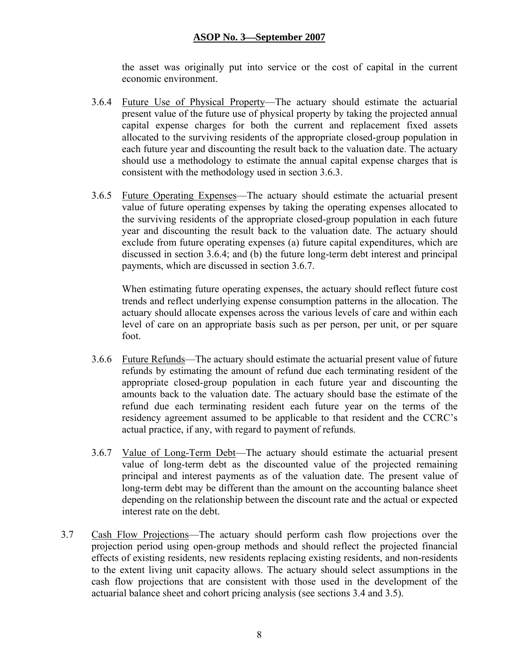the asset was originally put into service or the cost of capital in the current economic environment.

- 3.6.4 Future Use of Physical Property—The actuary should estimate the actuarial present value of the future use of physical property by taking the projected annual capital expense charges for both the current and replacement fixed assets allocated to the surviving residents of the appropriate closed-group population in each future year and discounting the result back to the valuation date. The actuary should use a methodology to estimate the annual capital expense charges that is consistent with the methodology used in section 3.6.3.
- 3.6.5 Future Operating Expenses—The actuary should estimate the actuarial present value of future operating expenses by taking the operating expenses allocated to the surviving residents of the appropriate closed-group population in each future year and discounting the result back to the valuation date. The actuary should exclude from future operating expenses (a) future capital expenditures, which are discussed in section 3.6.4; and (b) the future long-term debt interest and principal payments, which are discussed in section 3.6.7.

When estimating future operating expenses, the actuary should reflect future cost trends and reflect underlying expense consumption patterns in the allocation. The actuary should allocate expenses across the various levels of care and within each level of care on an appropriate basis such as per person, per unit, or per square foot.

- 3.6.6 Future Refunds—The actuary should estimate the actuarial present value of future refunds by estimating the amount of refund due each terminating resident of the appropriate closed-group population in each future year and discounting the amounts back to the valuation date. The actuary should base the estimate of the refund due each terminating resident each future year on the terms of the residency agreement assumed to be applicable to that resident and the CCRC's actual practice, if any, with regard to payment of refunds.
- 3.6.7 Value of Long-Term Debt—The actuary should estimate the actuarial present value of long-term debt as the discounted value of the projected remaining principal and interest payments as of the valuation date. The present value of long-term debt may be different than the amount on the accounting balance sheet depending on the relationship between the discount rate and the actual or expected interest rate on the debt.
- 3.7 Cash Flow Projections—The actuary should perform cash flow projections over the projection period using open-group methods and should reflect the projected financial effects of existing residents, new residents replacing existing residents, and non-residents to the extent living unit capacity allows. The actuary should select assumptions in the cash flow projections that are consistent with those used in the development of the actuarial balance sheet and cohort pricing analysis (see sections 3.4 and 3.5).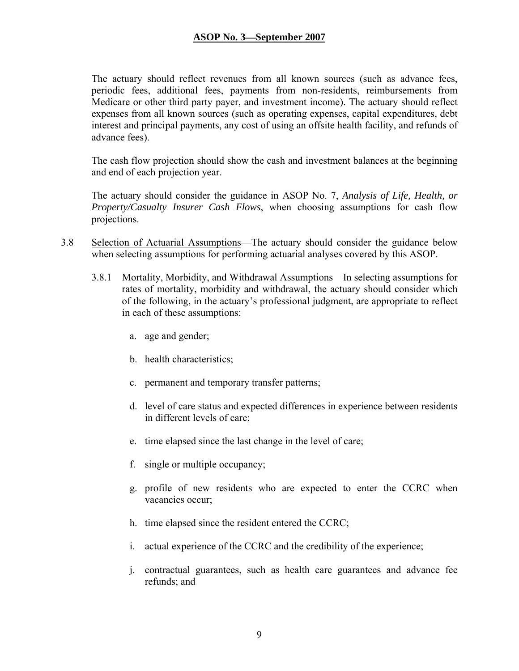The actuary should reflect revenues from all known sources (such as advance fees, periodic fees, additional fees, payments from non-residents, reimbursements from Medicare or other third party payer, and investment income). The actuary should reflect expenses from all known sources (such as operating expenses, capital expenditures, debt interest and principal payments, any cost of using an offsite health facility, and refunds of advance fees).

The cash flow projection should show the cash and investment balances at the beginning and end of each projection year.

The actuary should consider the guidance in ASOP No. 7, *Analysis of Life, Health, or Property/Casualty Insurer Cash Flows*, when choosing assumptions for cash flow projections.

- 3.8 Selection of Actuarial Assumptions—The actuary should consider the guidance below when selecting assumptions for performing actuarial analyses covered by this ASOP.
	- 3.8.1 Mortality, Morbidity, and Withdrawal Assumptions—In selecting assumptions for rates of mortality, morbidity and withdrawal, the actuary should consider which of the following, in the actuary's professional judgment, are appropriate to reflect in each of these assumptions:
		- a. age and gender;
		- b. health characteristics;
		- c. permanent and temporary transfer patterns;
		- d. level of care status and expected differences in experience between residents in different levels of care;
		- e. time elapsed since the last change in the level of care;
		- f. single or multiple occupancy;
		- g. profile of new residents who are expected to enter the CCRC when vacancies occur;
		- h. time elapsed since the resident entered the CCRC;
		- i. actual experience of the CCRC and the credibility of the experience;
		- j. contractual guarantees, such as health care guarantees and advance fee refunds; and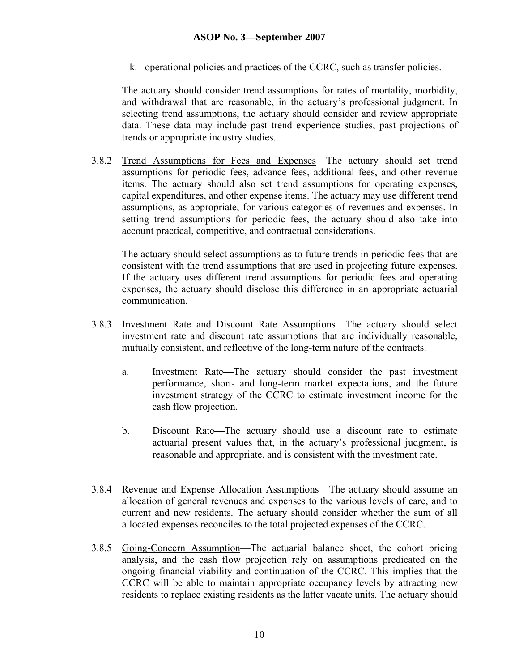k. operational policies and practices of the CCRC, such as transfer policies.

The actuary should consider trend assumptions for rates of mortality, morbidity, and withdrawal that are reasonable, in the actuary's professional judgment. In selecting trend assumptions, the actuary should consider and review appropriate data. These data may include past trend experience studies, past projections of trends or appropriate industry studies.

3.8.2 Trend Assumptions for Fees and Expenses—The actuary should set trend assumptions for periodic fees, advance fees, additional fees, and other revenue items. The actuary should also set trend assumptions for operating expenses, capital expenditures, and other expense items. The actuary may use different trend assumptions, as appropriate, for various categories of revenues and expenses. In setting trend assumptions for periodic fees, the actuary should also take into account practical, competitive, and contractual considerations.

The actuary should select assumptions as to future trends in periodic fees that are consistent with the trend assumptions that are used in projecting future expenses. If the actuary uses different trend assumptions for periodic fees and operating expenses, the actuary should disclose this difference in an appropriate actuarial communication.

- 3.8.3 Investment Rate and Discount Rate Assumptions—The actuary should select investment rate and discount rate assumptions that are individually reasonable, mutually consistent, and reflective of the long-term nature of the contracts.
	- a. Investment Rate—The actuary should consider the past investment performance, short- and long-term market expectations, and the future investment strategy of the CCRC to estimate investment income for the cash flow projection.
	- b. Discount Rate—The actuary should use a discount rate to estimate actuarial present values that, in the actuary's professional judgment, is reasonable and appropriate, and is consistent with the investment rate.
- 3.8.4 Revenue and Expense Allocation Assumptions—The actuary should assume an allocation of general revenues and expenses to the various levels of care, and to current and new residents. The actuary should consider whether the sum of all allocated expenses reconciles to the total projected expenses of the CCRC.
- 3.8.5 Going-Concern Assumption—The actuarial balance sheet, the cohort pricing analysis, and the cash flow projection rely on assumptions predicated on the ongoing financial viability and continuation of the CCRC. This implies that the CCRC will be able to maintain appropriate occupancy levels by attracting new residents to replace existing residents as the latter vacate units. The actuary should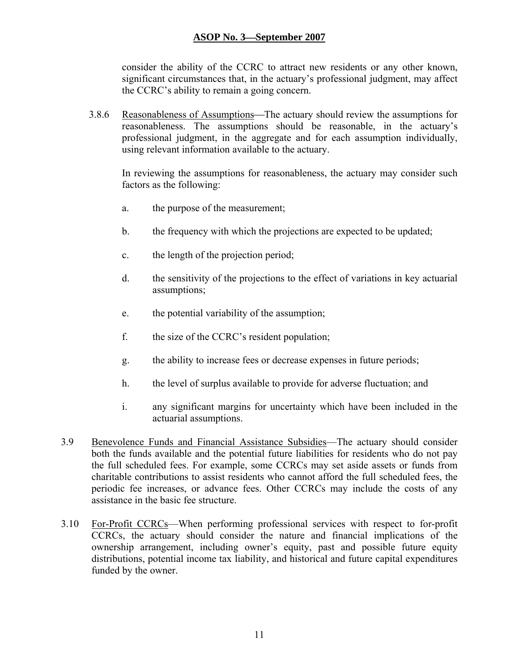consider the ability of the CCRC to attract new residents or any other known, significant circumstances that, in the actuary's professional judgment, may affect the CCRC's ability to remain a going concern.

3.8.6 Reasonableness of Assumptions—The actuary should review the assumptions for reasonableness. The assumptions should be reasonable, in the actuary's professional judgment, in the aggregate and for each assumption individually, using relevant information available to the actuary.

In reviewing the assumptions for reasonableness, the actuary may consider such factors as the following:

- a. the purpose of the measurement;
- b. the frequency with which the projections are expected to be updated;
- c. the length of the projection period;
- d. the sensitivity of the projections to the effect of variations in key actuarial assumptions;
- e. the potential variability of the assumption;
- f. the size of the CCRC's resident population;
- g. the ability to increase fees or decrease expenses in future periods;
- h. the level of surplus available to provide for adverse fluctuation; and
- i. any significant margins for uncertainty which have been included in the actuarial assumptions.
- 3.9 Benevolence Funds and Financial Assistance Subsidies—The actuary should consider both the funds available and the potential future liabilities for residents who do not pay the full scheduled fees. For example, some CCRCs may set aside assets or funds from charitable contributions to assist residents who cannot afford the full scheduled fees, the periodic fee increases, or advance fees. Other CCRCs may include the costs of any assistance in the basic fee structure.
- 3.10 For-Profit CCRCs—When performing professional services with respect to for-profit CCRCs, the actuary should consider the nature and financial implications of the ownership arrangement, including owner's equity, past and possible future equity distributions, potential income tax liability, and historical and future capital expenditures funded by the owner.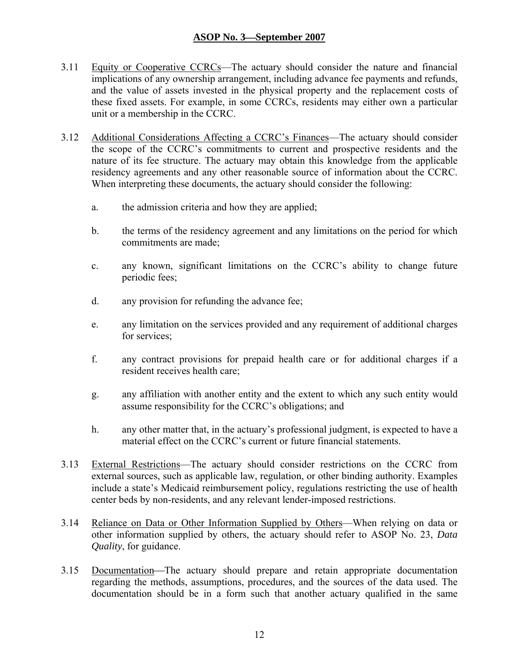- 3.11 Equity or Cooperative CCRCs—The actuary should consider the nature and financial implications of any ownership arrangement, including advance fee payments and refunds, and the value of assets invested in the physical property and the replacement costs of these fixed assets. For example, in some CCRCs, residents may either own a particular unit or a membership in the CCRC.
- 3.12 Additional Considerations Affecting a CCRC's Finances—The actuary should consider the scope of the CCRC's commitments to current and prospective residents and the nature of its fee structure. The actuary may obtain this knowledge from the applicable residency agreements and any other reasonable source of information about the CCRC. When interpreting these documents, the actuary should consider the following:
	- a. the admission criteria and how they are applied;
	- b. the terms of the residency agreement and any limitations on the period for which commitments are made;
	- c. any known, significant limitations on the CCRC's ability to change future periodic fees;
	- d. any provision for refunding the advance fee;
	- e. any limitation on the services provided and any requirement of additional charges for services;
	- f. any contract provisions for prepaid health care or for additional charges if a resident receives health care;
	- g. any affiliation with another entity and the extent to which any such entity would assume responsibility for the CCRC's obligations; and
	- h. any other matter that, in the actuary's professional judgment, is expected to have a material effect on the CCRC's current or future financial statements.
- 3.13 External Restrictions—The actuary should consider restrictions on the CCRC from external sources, such as applicable law, regulation, or other binding authority. Examples include a state's Medicaid reimbursement policy, regulations restricting the use of health center beds by non-residents, and any relevant lender-imposed restrictions.
- 3.14 Reliance on Data or Other Information Supplied by Others—When relying on data or other information supplied by others, the actuary should refer to ASOP No. 23, *Data Quality*, for guidance.
- 3.15 Documentation—The actuary should prepare and retain appropriate documentation regarding the methods, assumptions, procedures, and the sources of the data used. The documentation should be in a form such that another actuary qualified in the same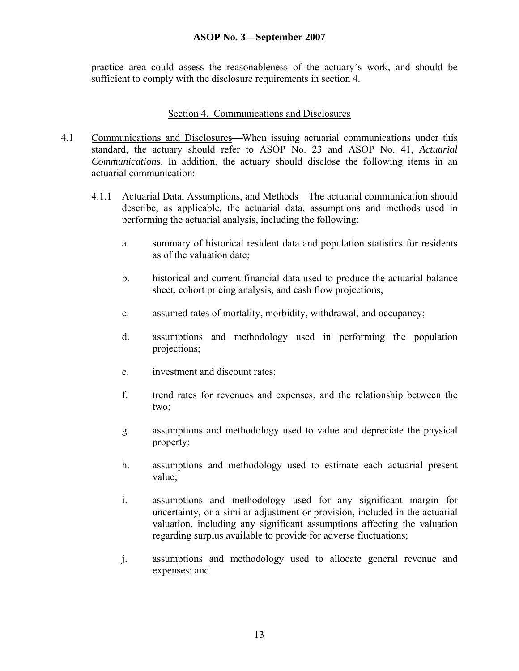practice area could assess the reasonableness of the actuary's work, and should be sufficient to comply with the disclosure requirements in section 4.

#### Section 4. Communications and Disclosures

- 4.1 Communications and Disclosures—When issuing actuarial communications under this standard, the actuary should refer to ASOP No. 23 and ASOP No. 41, *Actuarial Communications*. In addition, the actuary should disclose the following items in an actuarial communication:
	- 4.1.1 Actuarial Data, Assumptions, and Methods—The actuarial communication should describe, as applicable, the actuarial data, assumptions and methods used in performing the actuarial analysis, including the following:
		- a. summary of historical resident data and population statistics for residents as of the valuation date;
		- b. historical and current financial data used to produce the actuarial balance sheet, cohort pricing analysis, and cash flow projections;
		- c. assumed rates of mortality, morbidity, withdrawal, and occupancy;
		- d. assumptions and methodology used in performing the population projections;
		- e. investment and discount rates;
		- f. trend rates for revenues and expenses, and the relationship between the two;
		- g. assumptions and methodology used to value and depreciate the physical property;
		- h. assumptions and methodology used to estimate each actuarial present value;
		- i. assumptions and methodology used for any significant margin for uncertainty, or a similar adjustment or provision, included in the actuarial valuation, including any significant assumptions affecting the valuation regarding surplus available to provide for adverse fluctuations;
		- j. assumptions and methodology used to allocate general revenue and expenses; and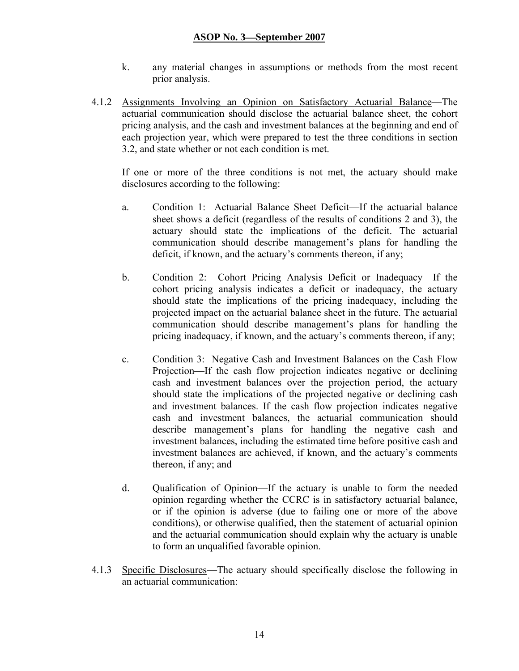- k. any material changes in assumptions or methods from the most recent prior analysis.
- 4.1.2 Assignments Involving an Opinion on Satisfactory Actuarial Balance—The actuarial communication should disclose the actuarial balance sheet, the cohort pricing analysis, and the cash and investment balances at the beginning and end of each projection year, which were prepared to test the three conditions in section 3.2, and state whether or not each condition is met.

 If one or more of the three conditions is not met, the actuary should make disclosures according to the following:

- a. Condition 1: Actuarial Balance Sheet Deficit—If the actuarial balance sheet shows a deficit (regardless of the results of conditions 2 and 3), the actuary should state the implications of the deficit. The actuarial communication should describe management's plans for handling the deficit, if known, and the actuary's comments thereon, if any;
- b. Condition 2: Cohort Pricing Analysis Deficit or Inadequacy—If the cohort pricing analysis indicates a deficit or inadequacy, the actuary should state the implications of the pricing inadequacy, including the projected impact on the actuarial balance sheet in the future. The actuarial communication should describe management's plans for handling the pricing inadequacy, if known, and the actuary's comments thereon, if any;
- c. Condition 3: Negative Cash and Investment Balances on the Cash Flow Projection—If the cash flow projection indicates negative or declining cash and investment balances over the projection period, the actuary should state the implications of the projected negative or declining cash and investment balances. If the cash flow projection indicates negative cash and investment balances, the actuarial communication should describe management's plans for handling the negative cash and investment balances, including the estimated time before positive cash and investment balances are achieved, if known, and the actuary's comments thereon, if any; and
- d. Qualification of Opinion—If the actuary is unable to form the needed opinion regarding whether the CCRC is in satisfactory actuarial balance, or if the opinion is adverse (due to failing one or more of the above conditions), or otherwise qualified, then the statement of actuarial opinion and the actuarial communication should explain why the actuary is unable to form an unqualified favorable opinion.
- 4.1.3 Specific Disclosures—The actuary should specifically disclose the following in an actuarial communication: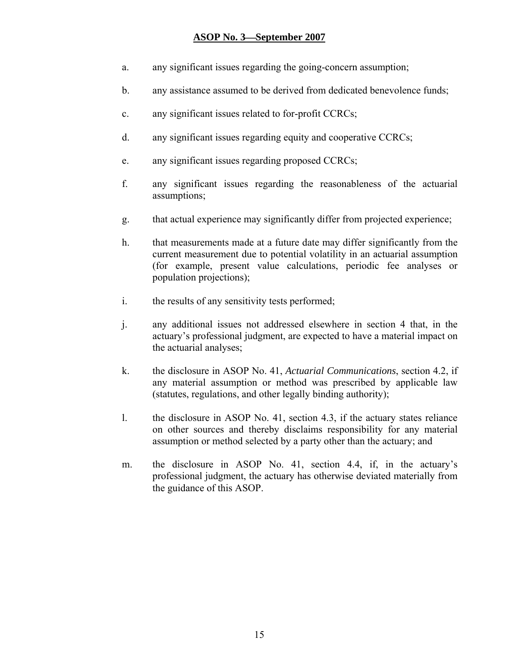- a. any significant issues regarding the going-concern assumption;
- b. any assistance assumed to be derived from dedicated benevolence funds;
- c. any significant issues related to for-profit CCRCs;
- d. any significant issues regarding equity and cooperative CCRCs;
- e. any significant issues regarding proposed CCRCs;
- f. any significant issues regarding the reasonableness of the actuarial assumptions;
- g. that actual experience may significantly differ from projected experience;
- h. that measurements made at a future date may differ significantly from the current measurement due to potential volatility in an actuarial assumption (for example, present value calculations, periodic fee analyses or population projections);
- i. the results of any sensitivity tests performed;
- j. any additional issues not addressed elsewhere in section 4 that, in the actuary's professional judgment, are expected to have a material impact on the actuarial analyses;
- k. the disclosure in ASOP No. 41, *Actuarial Communications*, section 4.2, if any material assumption or method was prescribed by applicable law (statutes, regulations, and other legally binding authority);
- l. the disclosure in ASOP No. 41, section 4.3, if the actuary states reliance on other sources and thereby disclaims responsibility for any material assumption or method selected by a party other than the actuary; and
- m. the disclosure in ASOP No. 41, section 4.4, if, in the actuary's professional judgment, the actuary has otherwise deviated materially from the guidance of this ASOP.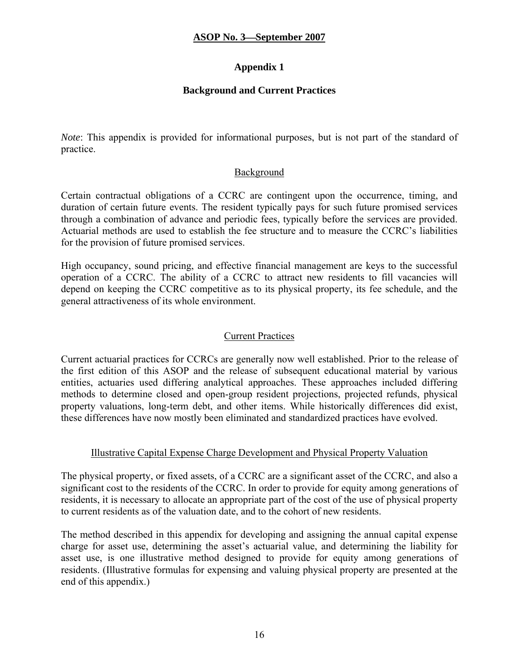## **Appendix 1**

## **Background and Current Practices**

*Note*: This appendix is provided for informational purposes, but is not part of the standard of practice.

#### Background

Certain contractual obligations of a CCRC are contingent upon the occurrence, timing, and duration of certain future events. The resident typically pays for such future promised services through a combination of advance and periodic fees, typically before the services are provided. Actuarial methods are used to establish the fee structure and to measure the CCRC's liabilities for the provision of future promised services.

High occupancy, sound pricing, and effective financial management are keys to the successful operation of a CCRC. The ability of a CCRC to attract new residents to fill vacancies will depend on keeping the CCRC competitive as to its physical property, its fee schedule, and the general attractiveness of its whole environment.

#### Current Practices

Current actuarial practices for CCRCs are generally now well established. Prior to the release of the first edition of this ASOP and the release of subsequent educational material by various entities, actuaries used differing analytical approaches. These approaches included differing methods to determine closed and open-group resident projections, projected refunds, physical property valuations, long-term debt, and other items. While historically differences did exist, these differences have now mostly been eliminated and standardized practices have evolved.

#### Illustrative Capital Expense Charge Development and Physical Property Valuation

The physical property, or fixed assets, of a CCRC are a significant asset of the CCRC, and also a significant cost to the residents of the CCRC. In order to provide for equity among generations of residents, it is necessary to allocate an appropriate part of the cost of the use of physical property to current residents as of the valuation date, and to the cohort of new residents.

The method described in this appendix for developing and assigning the annual capital expense charge for asset use, determining the asset's actuarial value, and determining the liability for asset use, is one illustrative method designed to provide for equity among generations of residents. (Illustrative formulas for expensing and valuing physical property are presented at the end of this appendix.)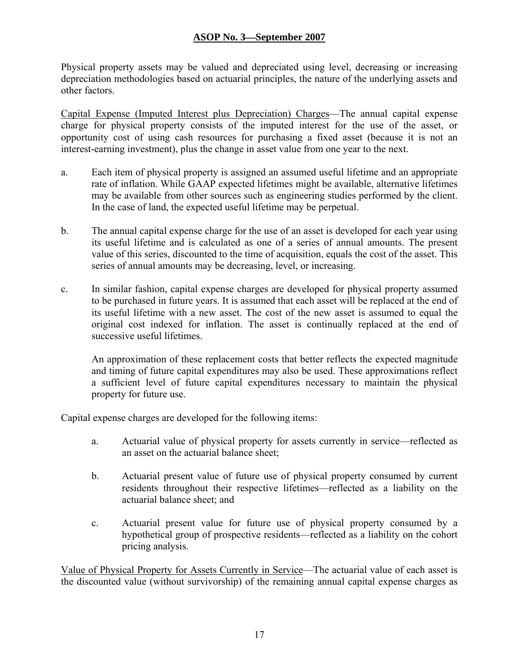Physical property assets may be valued and depreciated using level, decreasing or increasing depreciation methodologies based on actuarial principles, the nature of the underlying assets and other factors.

Capital Expense (Imputed Interest plus Depreciation) Charges—The annual capital expense charge for physical property consists of the imputed interest for the use of the asset, or opportunity cost of using cash resources for purchasing a fixed asset (because it is not an interest-earning investment), plus the change in asset value from one year to the next.

- a. Each item of physical property is assigned an assumed useful lifetime and an appropriate rate of inflation. While GAAP expected lifetimes might be available, alternative lifetimes may be available from other sources such as engineering studies performed by the client. In the case of land, the expected useful lifetime may be perpetual.
- b. The annual capital expense charge for the use of an asset is developed for each year using its useful lifetime and is calculated as one of a series of annual amounts. The present value of this series, discounted to the time of acquisition, equals the cost of the asset. This series of annual amounts may be decreasing, level, or increasing.
- c. In similar fashion, capital expense charges are developed for physical property assumed to be purchased in future years. It is assumed that each asset will be replaced at the end of its useful lifetime with a new asset. The cost of the new asset is assumed to equal the original cost indexed for inflation. The asset is continually replaced at the end of successive useful lifetimes.

An approximation of these replacement costs that better reflects the expected magnitude and timing of future capital expenditures may also be used. These approximations reflect a sufficient level of future capital expenditures necessary to maintain the physical property for future use.

Capital expense charges are developed for the following items:

- a. Actuarial value of physical property for assets currently in service—reflected as an asset on the actuarial balance sheet;
- b. Actuarial present value of future use of physical property consumed by current residents throughout their respective lifetimes—reflected as a liability on the actuarial balance sheet; and
- c. Actuarial present value for future use of physical property consumed by a hypothetical group of prospective residents—reflected as a liability on the cohort pricing analysis.

Value of Physical Property for Assets Currently in Service—The actuarial value of each asset is the discounted value (without survivorship) of the remaining annual capital expense charges as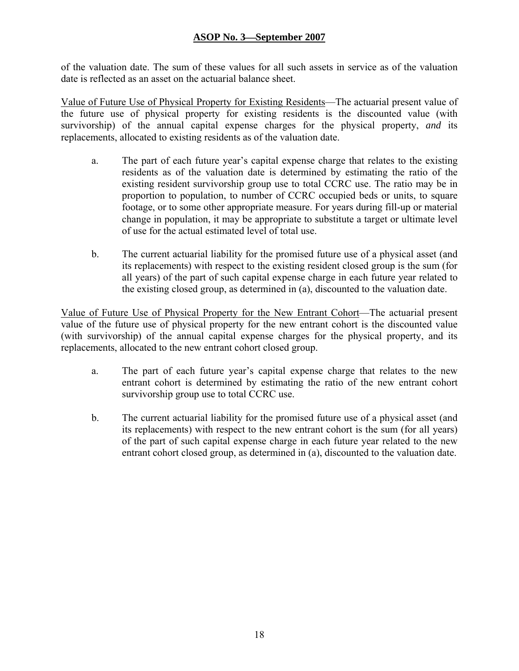of the valuation date. The sum of these values for all such assets in service as of the valuation date is reflected as an asset on the actuarial balance sheet.

Value of Future Use of Physical Property for Existing Residents—The actuarial present value of the future use of physical property for existing residents is the discounted value (with survivorship) of the annual capital expense charges for the physical property, *and* its replacements, allocated to existing residents as of the valuation date.

- a. The part of each future year's capital expense charge that relates to the existing residents as of the valuation date is determined by estimating the ratio of the existing resident survivorship group use to total CCRC use. The ratio may be in proportion to population, to number of CCRC occupied beds or units, to square footage, or to some other appropriate measure. For years during fill-up or material change in population, it may be appropriate to substitute a target or ultimate level of use for the actual estimated level of total use.
- b. The current actuarial liability for the promised future use of a physical asset (and its replacements) with respect to the existing resident closed group is the sum (for all years) of the part of such capital expense charge in each future year related to the existing closed group, as determined in (a), discounted to the valuation date.

Value of Future Use of Physical Property for the New Entrant Cohort—The actuarial present value of the future use of physical property for the new entrant cohort is the discounted value (with survivorship) of the annual capital expense charges for the physical property, and its replacements, allocated to the new entrant cohort closed group.

- a. The part of each future year's capital expense charge that relates to the new entrant cohort is determined by estimating the ratio of the new entrant cohort survivorship group use to total CCRC use.
- b. The current actuarial liability for the promised future use of a physical asset (and its replacements) with respect to the new entrant cohort is the sum (for all years) of the part of such capital expense charge in each future year related to the new entrant cohort closed group, as determined in (a), discounted to the valuation date.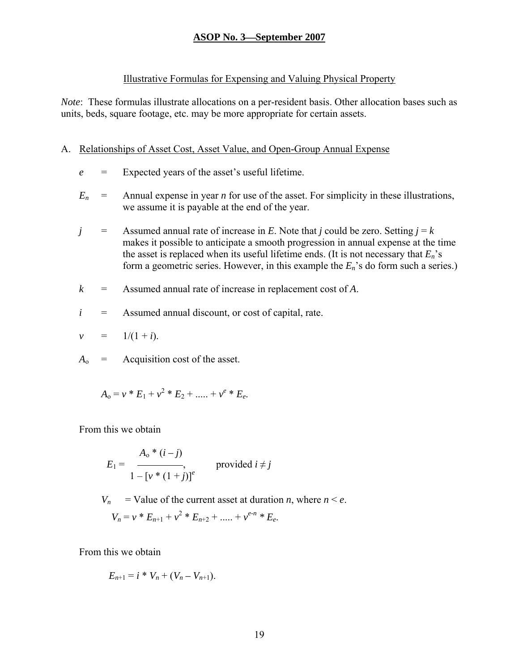#### Illustrative Formulas for Expensing and Valuing Physical Property

*Note*: These formulas illustrate allocations on a per-resident basis. Other allocation bases such as units, beds, square footage, etc. may be more appropriate for certain assets.

#### A. Relationships of Asset Cost, Asset Value, and Open-Group Annual Expense

- *e* = Expected years of the asset's useful lifetime.
- $E_n$  = Annual expense in year *n* for use of the asset. For simplicity in these illustrations, we assume it is payable at the end of the year.
- *j* = Assumed annual rate of increase in *E*. Note that *j* could be zero. Setting  $j = k$ makes it possible to anticipate a smooth progression in annual expense at the time the asset is replaced when its useful lifetime ends. (It is not necessary that  $E_n$ 's form a geometric series. However, in this example the *En*'s do form such a series.)
- *k* = Assumed annual rate of increase in replacement cost of *A*.
- $i =$  Assumed annual discount, or cost of capital, rate.

$$
v = 1/(1+i).
$$

 $A_0$  = Acquisition cost of the asset.

$$
A_0 = v * E_1 + v^2 * E_2 + \dots + v^e * E_e.
$$

From this we obtain

$$
E_1 = \frac{A_0 * (i - j)}{1 - [v * (1 + j)]^e}
$$
 provided  $i \neq j$ 

*V<sub>n</sub>* = Value of the current asset at duration *n*, where  $n \le e$ .

$$
V_n = v * E_{n+1} + v^2 * E_{n+2} + \dots + v^{e-n} * E_e.
$$

From this we obtain

$$
E_{n+1} = i * V_n + (V_n - V_{n+1}).
$$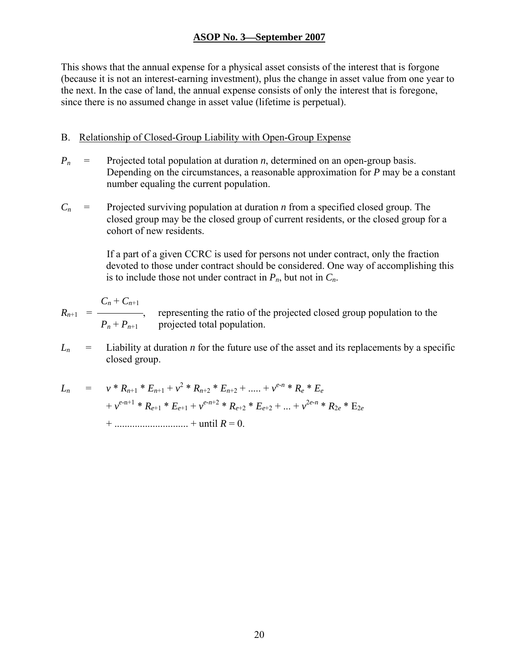This shows that the annual expense for a physical asset consists of the interest that is forgone (because it is not an interest-earning investment), plus the change in asset value from one year to the next. In the case of land, the annual expense consists of only the interest that is foregone, since there is no assumed change in asset value (lifetime is perpetual).

#### B. Relationship of Closed-Group Liability with Open-Group Expense

- $P_n$  = Projected total population at duration *n*, determined on an open-group basis. Depending on the circumstances, a reasonable approximation for *P* may be a constant number equaling the current population.
- *Cn* = Projected surviving population at duration *n* from a specified closed group. The closed group may be the closed group of current residents, or the closed group for a cohort of new residents.

If a part of a given CCRC is used for persons not under contract, only the fraction devoted to those under contract should be considered. One way of accomplishing this is to include those not under contract in  $P_n$ , but not in  $C_n$ .

$$
R_{n+1} = \frac{C_n + C_{n+1}}{P_n + P_{n+1}}
$$
, representing the ratio of the projected closed group population to the projected total population.

 $L_n$  = Liability at duration *n* for the future use of the asset and its replacements by a specific closed group.

$$
L_n = v * R_{n+1} * E_{n+1} + v^2 * R_{n+2} * E_{n+2} + ..... + v^{e-n} * R_e * E_e
$$
  
+  $v^{e-n+1} * R_{e+1} * E_{e+1} + v^{e-n+2} * R_{e+2} * E_{e+2} + ... + v^{2e-n} * R_{2e} * E_{2e}$   
+  $........$   $+$  until  $R = 0$ .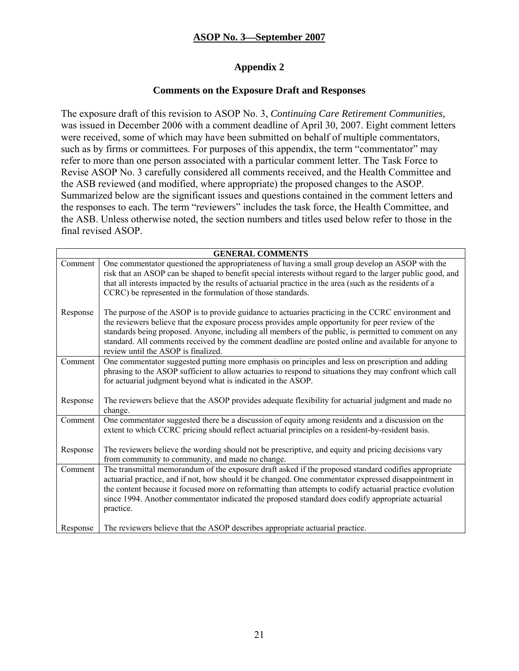## **Appendix 2**

#### **Comments on the Exposure Draft and Responses**

The exposure draft of this revision to ASOP No. 3, *Continuing Care Retirement Communities,*  was issued in December 2006 with a comment deadline of April 30, 2007. Eight comment letters were received, some of which may have been submitted on behalf of multiple commentators, such as by firms or committees. For purposes of this appendix, the term "commentator" may refer to more than one person associated with a particular comment letter. The Task Force to Revise ASOP No. 3 carefully considered all comments received, and the Health Committee and the ASB reviewed (and modified, where appropriate) the proposed changes to the ASOP. Summarized below are the significant issues and questions contained in the comment letters and the responses to each. The term "reviewers" includes the task force, the Health Committee, and the ASB. Unless otherwise noted, the section numbers and titles used below refer to those in the final revised ASOP.

| <b>GENERAL COMMENTS</b> |                                                                                                                                                                                                                                                                                                                                                                                                                                                                  |
|-------------------------|------------------------------------------------------------------------------------------------------------------------------------------------------------------------------------------------------------------------------------------------------------------------------------------------------------------------------------------------------------------------------------------------------------------------------------------------------------------|
| Comment                 | One commentator questioned the appropriateness of having a small group develop an ASOP with the<br>risk that an ASOP can be shaped to benefit special interests without regard to the larger public good, and<br>that all interests impacted by the results of actuarial practice in the area (such as the residents of a<br>CCRC) be represented in the formulation of those standards.                                                                         |
| Response                | The purpose of the ASOP is to provide guidance to actuaries practicing in the CCRC environment and<br>the reviewers believe that the exposure process provides ample opportunity for peer review of the<br>standards being proposed. Anyone, including all members of the public, is permitted to comment on any<br>standard. All comments received by the comment deadline are posted online and available for anyone to<br>review until the ASOP is finalized. |
| Comment                 | One commentator suggested putting more emphasis on principles and less on prescription and adding<br>phrasing to the ASOP sufficient to allow actuaries to respond to situations they may confront which call<br>for actuarial judgment beyond what is indicated in the ASOP.                                                                                                                                                                                    |
| Response                | The reviewers believe that the ASOP provides adequate flexibility for actuarial judgment and made no<br>change.                                                                                                                                                                                                                                                                                                                                                  |
| Comment                 | One commentator suggested there be a discussion of equity among residents and a discussion on the<br>extent to which CCRC pricing should reflect actuarial principles on a resident-by-resident basis.                                                                                                                                                                                                                                                           |
| Response                | The reviewers believe the wording should not be prescriptive, and equity and pricing decisions vary<br>from community to community, and made no change.                                                                                                                                                                                                                                                                                                          |
| Comment                 | The transmittal memorandum of the exposure draft asked if the proposed standard codifies appropriate<br>actuarial practice, and if not, how should it be changed. One commentator expressed disappointment in<br>the content because it focused more on reformatting than attempts to codify actuarial practice evolution<br>since 1994. Another commentator indicated the proposed standard does codify appropriate actuarial<br>practice.                      |
| Response                | The reviewers believe that the ASOP describes appropriate actuarial practice.                                                                                                                                                                                                                                                                                                                                                                                    |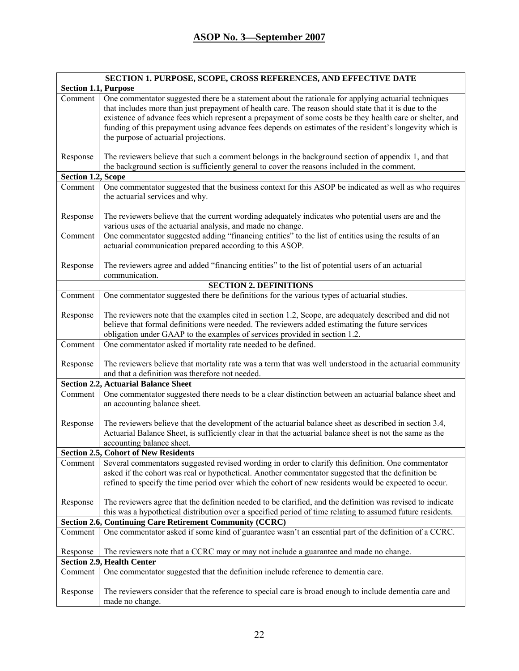|                             | SECTION 1. PURPOSE, SCOPE, CROSS REFERENCES, AND EFFECTIVE DATE                                                                                                                                                                                                                                                                                                                                                                                                               |  |
|-----------------------------|-------------------------------------------------------------------------------------------------------------------------------------------------------------------------------------------------------------------------------------------------------------------------------------------------------------------------------------------------------------------------------------------------------------------------------------------------------------------------------|--|
| <b>Section 1.1, Purpose</b> |                                                                                                                                                                                                                                                                                                                                                                                                                                                                               |  |
| Comment                     | One commentator suggested there be a statement about the rationale for applying actuarial techniques<br>that includes more than just prepayment of health care. The reason should state that it is due to the<br>existence of advance fees which represent a prepayment of some costs be they health care or shelter, and<br>funding of this prepayment using advance fees depends on estimates of the resident's longevity which is<br>the purpose of actuarial projections. |  |
| Response                    | The reviewers believe that such a comment belongs in the background section of appendix 1, and that<br>the background section is sufficiently general to cover the reasons included in the comment.                                                                                                                                                                                                                                                                           |  |
| Section 1.2, Scope          |                                                                                                                                                                                                                                                                                                                                                                                                                                                                               |  |
| Comment                     | One commentator suggested that the business context for this ASOP be indicated as well as who requires<br>the actuarial services and why.                                                                                                                                                                                                                                                                                                                                     |  |
| Response                    | The reviewers believe that the current wording adequately indicates who potential users are and the<br>various uses of the actuarial analysis, and made no change.                                                                                                                                                                                                                                                                                                            |  |
| $\overline{\text{Comment}}$ | One commentator suggested adding "financing entities" to the list of entities using the results of an<br>actuarial communication prepared according to this ASOP.                                                                                                                                                                                                                                                                                                             |  |
| Response                    | The reviewers agree and added "financing entities" to the list of potential users of an actuarial<br>communication.                                                                                                                                                                                                                                                                                                                                                           |  |
|                             | <b>SECTION 2. DEFINITIONS</b>                                                                                                                                                                                                                                                                                                                                                                                                                                                 |  |
| Comment                     | One commentator suggested there be definitions for the various types of actuarial studies.                                                                                                                                                                                                                                                                                                                                                                                    |  |
| Response                    | The reviewers note that the examples cited in section 1.2, Scope, are adequately described and did not<br>believe that formal definitions were needed. The reviewers added estimating the future services<br>obligation under GAAP to the examples of services provided in section 1.2.                                                                                                                                                                                       |  |
| Comment                     | One commentator asked if mortality rate needed to be defined.                                                                                                                                                                                                                                                                                                                                                                                                                 |  |
| Response                    | The reviewers believe that mortality rate was a term that was well understood in the actuarial community<br>and that a definition was therefore not needed.                                                                                                                                                                                                                                                                                                                   |  |
|                             | <b>Section 2.2, Actuarial Balance Sheet</b>                                                                                                                                                                                                                                                                                                                                                                                                                                   |  |
| $\overline{\text{Comment}}$ | One commentator suggested there needs to be a clear distinction between an actuarial balance sheet and<br>an accounting balance sheet.                                                                                                                                                                                                                                                                                                                                        |  |
| Response                    | The reviewers believe that the development of the actuarial balance sheet as described in section 3.4,<br>Actuarial Balance Sheet, is sufficiently clear in that the actuarial balance sheet is not the same as the<br>accounting balance sheet.                                                                                                                                                                                                                              |  |
|                             | <b>Section 2.5, Cohort of New Residents</b>                                                                                                                                                                                                                                                                                                                                                                                                                                   |  |
| Comment                     | Several commentators suggested revised wording in order to clarify this definition. One commentator<br>asked if the cohort was real or hypothetical. Another commentator suggested that the definition be<br>refined to specify the time period over which the cohort of new residents would be expected to occur.                                                                                                                                                            |  |
| Response                    | The reviewers agree that the definition needed to be clarified, and the definition was revised to indicate<br>this was a hypothetical distribution over a specified period of time relating to assumed future residents.                                                                                                                                                                                                                                                      |  |
|                             | <b>Section 2.6, Continuing Care Retirement Community (CCRC)</b>                                                                                                                                                                                                                                                                                                                                                                                                               |  |
| Comment                     | One commentator asked if some kind of guarantee wasn't an essential part of the definition of a CCRC.                                                                                                                                                                                                                                                                                                                                                                         |  |
| Response                    | The reviewers note that a CCRC may or may not include a guarantee and made no change.                                                                                                                                                                                                                                                                                                                                                                                         |  |
|                             | <b>Section 2.9, Health Center</b>                                                                                                                                                                                                                                                                                                                                                                                                                                             |  |
| Comment                     | One commentator suggested that the definition include reference to dementia care.                                                                                                                                                                                                                                                                                                                                                                                             |  |
| Response                    | The reviewers consider that the reference to special care is broad enough to include dementia care and<br>made no change.                                                                                                                                                                                                                                                                                                                                                     |  |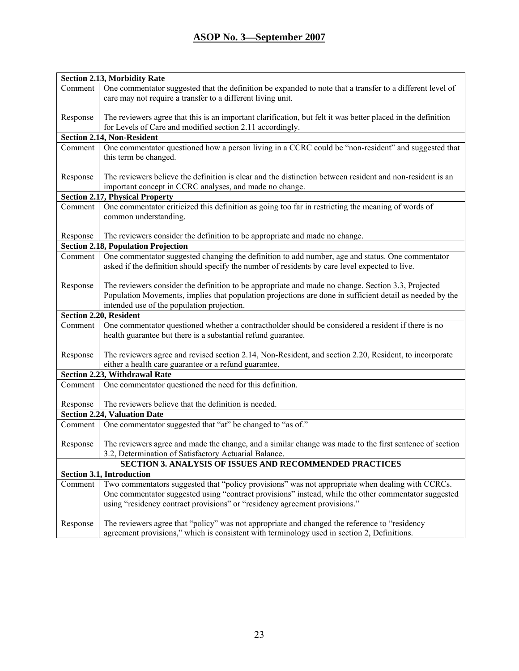| <b>Section 2.13, Morbidity Rate</b>                     |                                                                                                                                                                                                    |
|---------------------------------------------------------|----------------------------------------------------------------------------------------------------------------------------------------------------------------------------------------------------|
| Comment                                                 | One commentator suggested that the definition be expanded to note that a transfer to a different level of                                                                                          |
|                                                         | care may not require a transfer to a different living unit.                                                                                                                                        |
|                                                         |                                                                                                                                                                                                    |
| Response                                                | The reviewers agree that this is an important clarification, but felt it was better placed in the definition                                                                                       |
|                                                         | for Levels of Care and modified section 2.11 accordingly.                                                                                                                                          |
|                                                         | <b>Section 2.14, Non-Resident</b>                                                                                                                                                                  |
| Comment                                                 | One commentator questioned how a person living in a CCRC could be "non-resident" and suggested that                                                                                                |
|                                                         | this term be changed.                                                                                                                                                                              |
|                                                         |                                                                                                                                                                                                    |
| Response                                                | The reviewers believe the definition is clear and the distinction between resident and non-resident is an                                                                                          |
|                                                         | important concept in CCRC analyses, and made no change.                                                                                                                                            |
|                                                         | <b>Section 2.17, Physical Property</b>                                                                                                                                                             |
| Comment                                                 | One commentator criticized this definition as going too far in restricting the meaning of words of                                                                                                 |
|                                                         | common understanding.                                                                                                                                                                              |
|                                                         |                                                                                                                                                                                                    |
| Response                                                | The reviewers consider the definition to be appropriate and made no change.                                                                                                                        |
|                                                         | <b>Section 2.18, Population Projection</b>                                                                                                                                                         |
| Comment                                                 | One commentator suggested changing the definition to add number, age and status. One commentator<br>asked if the definition should specify the number of residents by care level expected to live. |
|                                                         |                                                                                                                                                                                                    |
| Response                                                | The reviewers consider the definition to be appropriate and made no change. Section 3.3, Projected                                                                                                 |
|                                                         | Population Movements, implies that population projections are done in sufficient detail as needed by the                                                                                           |
|                                                         | intended use of the population projection.                                                                                                                                                         |
|                                                         | Section 2.20, Resident                                                                                                                                                                             |
| Comment                                                 | One commentator questioned whether a contractholder should be considered a resident if there is no                                                                                                 |
|                                                         | health guarantee but there is a substantial refund guarantee.                                                                                                                                      |
|                                                         |                                                                                                                                                                                                    |
| Response                                                | The reviewers agree and revised section 2.14, Non-Resident, and section 2.20, Resident, to incorporate                                                                                             |
|                                                         | either a health care guarantee or a refund guarantee.                                                                                                                                              |
|                                                         | <b>Section 2.23, Withdrawal Rate</b>                                                                                                                                                               |
| Comment                                                 | One commentator questioned the need for this definition.                                                                                                                                           |
|                                                         |                                                                                                                                                                                                    |
| Response                                                | The reviewers believe that the definition is needed.                                                                                                                                               |
|                                                         | <b>Section 2.24, Valuation Date</b>                                                                                                                                                                |
| Comment                                                 | One commentator suggested that "at" be changed to "as of."                                                                                                                                         |
|                                                         |                                                                                                                                                                                                    |
| Response                                                | The reviewers agree and made the change, and a similar change was made to the first sentence of section                                                                                            |
|                                                         | 3.2, Determination of Satisfactory Actuarial Balance.                                                                                                                                              |
| SECTION 3. ANALYSIS OF ISSUES AND RECOMMENDED PRACTICES |                                                                                                                                                                                                    |
| Section 3.1, Introduction                               |                                                                                                                                                                                                    |
| Comment                                                 | Two commentators suggested that "policy provisions" was not appropriate when dealing with CCRCs.                                                                                                   |
|                                                         | One commentator suggested using "contract provisions" instead, while the other commentator suggested                                                                                               |
|                                                         | using "residency contract provisions" or "residency agreement provisions."                                                                                                                         |
|                                                         |                                                                                                                                                                                                    |
| Response                                                | The reviewers agree that "policy" was not appropriate and changed the reference to "residency                                                                                                      |
|                                                         | agreement provisions," which is consistent with terminology used in section 2, Definitions.                                                                                                        |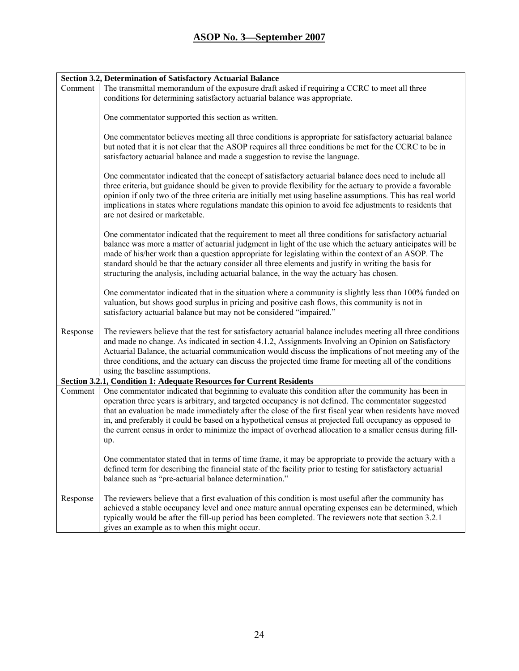|          | <b>Section 3.2, Determination of Satisfactory Actuarial Balance</b>                                                                                                                                                                                                                                                                                                                                                                                                                                                                                      |
|----------|----------------------------------------------------------------------------------------------------------------------------------------------------------------------------------------------------------------------------------------------------------------------------------------------------------------------------------------------------------------------------------------------------------------------------------------------------------------------------------------------------------------------------------------------------------|
| Comment  | The transmittal memorandum of the exposure draft asked if requiring a CCRC to meet all three<br>conditions for determining satisfactory actuarial balance was appropriate.                                                                                                                                                                                                                                                                                                                                                                               |
|          | One commentator supported this section as written.                                                                                                                                                                                                                                                                                                                                                                                                                                                                                                       |
|          | One commentator believes meeting all three conditions is appropriate for satisfactory actuarial balance<br>but noted that it is not clear that the ASOP requires all three conditions be met for the CCRC to be in<br>satisfactory actuarial balance and made a suggestion to revise the language.                                                                                                                                                                                                                                                       |
|          | One commentator indicated that the concept of satisfactory actuarial balance does need to include all<br>three criteria, but guidance should be given to provide flexibility for the actuary to provide a favorable<br>opinion if only two of the three criteria are initially met using baseline assumptions. This has real world<br>implications in states where regulations mandate this opinion to avoid fee adjustments to residents that<br>are not desired or marketable.                                                                         |
|          | One commentator indicated that the requirement to meet all three conditions for satisfactory actuarial<br>balance was more a matter of actuarial judgment in light of the use which the actuary anticipates will be<br>made of his/her work than a question appropriate for legislating within the context of an ASOP. The<br>standard should be that the actuary consider all three elements and justify in writing the basis for<br>structuring the analysis, including actuarial balance, in the way the actuary has chosen.                          |
|          | One commentator indicated that in the situation where a community is slightly less than 100% funded on<br>valuation, but shows good surplus in pricing and positive cash flows, this community is not in<br>satisfactory actuarial balance but may not be considered "impaired."                                                                                                                                                                                                                                                                         |
| Response | The reviewers believe that the test for satisfactory actuarial balance includes meeting all three conditions<br>and made no change. As indicated in section 4.1.2, Assignments Involving an Opinion on Satisfactory<br>Actuarial Balance, the actuarial communication would discuss the implications of not meeting any of the<br>three conditions, and the actuary can discuss the projected time frame for meeting all of the conditions<br>using the baseline assumptions.                                                                            |
|          | Section 3.2.1, Condition 1: Adequate Resources for Current Residents                                                                                                                                                                                                                                                                                                                                                                                                                                                                                     |
| Comment  | One commentator indicated that beginning to evaluate this condition after the community has been in<br>operation three years is arbitrary, and targeted occupancy is not defined. The commentator suggested<br>that an evaluation be made immediately after the close of the first fiscal year when residents have moved<br>in, and preferably it could be based on a hypothetical census at projected full occupancy as opposed to<br>the current census in order to minimize the impact of overhead allocation to a smaller census during fill-<br>up. |
|          | One commentator stated that in terms of time frame, it may be appropriate to provide the actuary with a<br>defined term for describing the financial state of the facility prior to testing for satisfactory actuarial<br>balance such as "pre-actuarial balance determination."                                                                                                                                                                                                                                                                         |
| Response | The reviewers believe that a first evaluation of this condition is most useful after the community has<br>achieved a stable occupancy level and once mature annual operating expenses can be determined, which<br>typically would be after the fill-up period has been completed. The reviewers note that section 3.2.1<br>gives an example as to when this might occur.                                                                                                                                                                                 |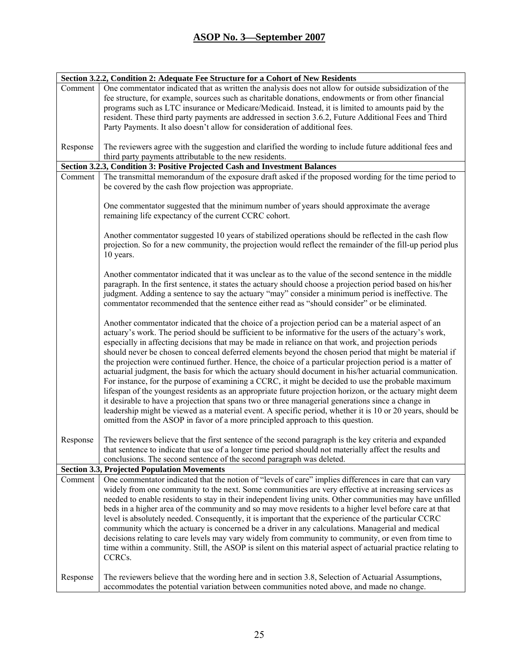|          | Section 3.2.2, Condition 2: Adequate Fee Structure for a Cohort of New Residents                                                                                                                                                                                                                                                                                                                                                                                                                                                                                                                                                                                                                                                                                                                                                                                                                                                                                                                                                                                                                                                                                                |
|----------|---------------------------------------------------------------------------------------------------------------------------------------------------------------------------------------------------------------------------------------------------------------------------------------------------------------------------------------------------------------------------------------------------------------------------------------------------------------------------------------------------------------------------------------------------------------------------------------------------------------------------------------------------------------------------------------------------------------------------------------------------------------------------------------------------------------------------------------------------------------------------------------------------------------------------------------------------------------------------------------------------------------------------------------------------------------------------------------------------------------------------------------------------------------------------------|
| Comment  | One commentator indicated that as written the analysis does not allow for outside subsidization of the<br>fee structure, for example, sources such as charitable donations, endowments or from other financial<br>programs such as LTC insurance or Medicare/Medicaid. Instead, it is limited to amounts paid by the<br>resident. These third party payments are addressed in section 3.6.2, Future Additional Fees and Third<br>Party Payments. It also doesn't allow for consideration of additional fees.                                                                                                                                                                                                                                                                                                                                                                                                                                                                                                                                                                                                                                                                    |
| Response | The reviewers agree with the suggestion and clarified the wording to include future additional fees and<br>third party payments attributable to the new residents.                                                                                                                                                                                                                                                                                                                                                                                                                                                                                                                                                                                                                                                                                                                                                                                                                                                                                                                                                                                                              |
|          | Section 3.2.3, Condition 3: Positive Projected Cash and Investment Balances                                                                                                                                                                                                                                                                                                                                                                                                                                                                                                                                                                                                                                                                                                                                                                                                                                                                                                                                                                                                                                                                                                     |
| Comment  | The transmittal memorandum of the exposure draft asked if the proposed wording for the time period to<br>be covered by the cash flow projection was appropriate.                                                                                                                                                                                                                                                                                                                                                                                                                                                                                                                                                                                                                                                                                                                                                                                                                                                                                                                                                                                                                |
|          | One commentator suggested that the minimum number of years should approximate the average<br>remaining life expectancy of the current CCRC cohort.                                                                                                                                                                                                                                                                                                                                                                                                                                                                                                                                                                                                                                                                                                                                                                                                                                                                                                                                                                                                                              |
|          | Another commentator suggested 10 years of stabilized operations should be reflected in the cash flow<br>projection. So for a new community, the projection would reflect the remainder of the fill-up period plus<br>10 years.                                                                                                                                                                                                                                                                                                                                                                                                                                                                                                                                                                                                                                                                                                                                                                                                                                                                                                                                                  |
|          | Another commentator indicated that it was unclear as to the value of the second sentence in the middle<br>paragraph. In the first sentence, it states the actuary should choose a projection period based on his/her<br>judgment. Adding a sentence to say the actuary "may" consider a minimum period is ineffective. The<br>commentator recommended that the sentence either read as "should consider" or be eliminated.                                                                                                                                                                                                                                                                                                                                                                                                                                                                                                                                                                                                                                                                                                                                                      |
|          | Another commentator indicated that the choice of a projection period can be a material aspect of an<br>actuary's work. The period should be sufficient to be informative for the users of the actuary's work,<br>especially in affecting decisions that may be made in reliance on that work, and projection periods<br>should never be chosen to conceal deferred elements beyond the chosen period that might be material if<br>the projection were continued further. Hence, the choice of a particular projection period is a matter of<br>actuarial judgment, the basis for which the actuary should document in his/her actuarial communication.<br>For instance, for the purpose of examining a CCRC, it might be decided to use the probable maximum<br>lifespan of the youngest residents as an appropriate future projection horizon, or the actuary might deem<br>it desirable to have a projection that spans two or three managerial generations since a change in<br>leadership might be viewed as a material event. A specific period, whether it is 10 or 20 years, should be<br>omitted from the ASOP in favor of a more principled approach to this question. |
| Response | The reviewers believe that the first sentence of the second paragraph is the key criteria and expanded<br>that sentence to indicate that use of a longer time period should not materially affect the results and<br>conclusions. The second sentence of the second paragraph was deleted.                                                                                                                                                                                                                                                                                                                                                                                                                                                                                                                                                                                                                                                                                                                                                                                                                                                                                      |
|          | <b>Section 3.3, Projected Population Movements</b>                                                                                                                                                                                                                                                                                                                                                                                                                                                                                                                                                                                                                                                                                                                                                                                                                                                                                                                                                                                                                                                                                                                              |
| Comment  | One commentator indicated that the notion of "levels of care" implies differences in care that can vary<br>widely from one community to the next. Some communities are very effective at increasing services as<br>needed to enable residents to stay in their independent living units. Other communities may have unfilled<br>beds in a higher area of the community and so may move residents to a higher level before care at that<br>level is absolutely needed. Consequently, it is important that the experience of the particular CCRC<br>community which the actuary is concerned be a driver in any calculations. Managerial and medical<br>decisions relating to care levels may vary widely from community to community, or even from time to<br>time within a community. Still, the ASOP is silent on this material aspect of actuarial practice relating to<br>CCRCs.                                                                                                                                                                                                                                                                                             |
| Response | The reviewers believe that the wording here and in section 3.8, Selection of Actuarial Assumptions,<br>accommodates the potential variation between communities noted above, and made no change.                                                                                                                                                                                                                                                                                                                                                                                                                                                                                                                                                                                                                                                                                                                                                                                                                                                                                                                                                                                |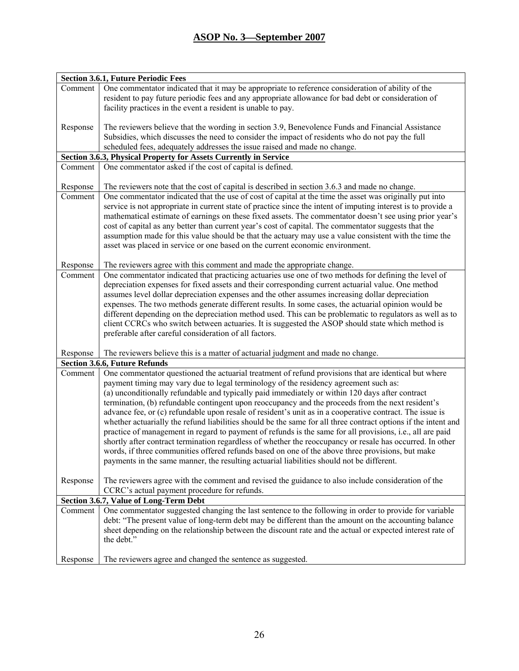|          | <b>Section 3.6.1, Future Periodic Fees</b>                                                                                                                                                                                                                                                                                                                                                                                                                                                                                                                                                                                                                                                                                                                                                                                                                                                                                                                                                                                                                    |  |
|----------|---------------------------------------------------------------------------------------------------------------------------------------------------------------------------------------------------------------------------------------------------------------------------------------------------------------------------------------------------------------------------------------------------------------------------------------------------------------------------------------------------------------------------------------------------------------------------------------------------------------------------------------------------------------------------------------------------------------------------------------------------------------------------------------------------------------------------------------------------------------------------------------------------------------------------------------------------------------------------------------------------------------------------------------------------------------|--|
| Comment  | One commentator indicated that it may be appropriate to reference consideration of ability of the<br>resident to pay future periodic fees and any appropriate allowance for bad debt or consideration of<br>facility practices in the event a resident is unable to pay.                                                                                                                                                                                                                                                                                                                                                                                                                                                                                                                                                                                                                                                                                                                                                                                      |  |
| Response | The reviewers believe that the wording in section 3.9, Benevolence Funds and Financial Assistance<br>Subsidies, which discusses the need to consider the impact of residents who do not pay the full<br>scheduled fees, adequately addresses the issue raised and made no change.                                                                                                                                                                                                                                                                                                                                                                                                                                                                                                                                                                                                                                                                                                                                                                             |  |
|          | Section 3.6.3, Physical Property for Assets Currently in Service                                                                                                                                                                                                                                                                                                                                                                                                                                                                                                                                                                                                                                                                                                                                                                                                                                                                                                                                                                                              |  |
| Comment  | One commentator asked if the cost of capital is defined.                                                                                                                                                                                                                                                                                                                                                                                                                                                                                                                                                                                                                                                                                                                                                                                                                                                                                                                                                                                                      |  |
| Response | The reviewers note that the cost of capital is described in section 3.6.3 and made no change.                                                                                                                                                                                                                                                                                                                                                                                                                                                                                                                                                                                                                                                                                                                                                                                                                                                                                                                                                                 |  |
| Comment  | One commentator indicated that the use of cost of capital at the time the asset was originally put into<br>service is not appropriate in current state of practice since the intent of imputing interest is to provide a<br>mathematical estimate of earnings on these fixed assets. The commentator doesn't see using prior year's<br>cost of capital as any better than current year's cost of capital. The commentator suggests that the<br>assumption made for this value should be that the actuary may use a value consistent with the time the<br>asset was placed in service or one based on the current economic environment.                                                                                                                                                                                                                                                                                                                                                                                                                        |  |
| Response | The reviewers agree with this comment and made the appropriate change.                                                                                                                                                                                                                                                                                                                                                                                                                                                                                                                                                                                                                                                                                                                                                                                                                                                                                                                                                                                        |  |
| Comment  | One commentator indicated that practicing actuaries use one of two methods for defining the level of<br>depreciation expenses for fixed assets and their corresponding current actuarial value. One method<br>assumes level dollar depreciation expenses and the other assumes increasing dollar depreciation<br>expenses. The two methods generate different results. In some cases, the actuarial opinion would be<br>different depending on the depreciation method used. This can be problematic to regulators as well as to<br>client CCRCs who switch between actuaries. It is suggested the ASOP should state which method is<br>preferable after careful consideration of all factors.                                                                                                                                                                                                                                                                                                                                                                |  |
| Response | The reviewers believe this is a matter of actuarial judgment and made no change.                                                                                                                                                                                                                                                                                                                                                                                                                                                                                                                                                                                                                                                                                                                                                                                                                                                                                                                                                                              |  |
|          | <b>Section 3.6.6, Future Refunds</b>                                                                                                                                                                                                                                                                                                                                                                                                                                                                                                                                                                                                                                                                                                                                                                                                                                                                                                                                                                                                                          |  |
| Comment  | One commentator questioned the actuarial treatment of refund provisions that are identical but where<br>payment timing may vary due to legal terminology of the residency agreement such as:<br>(a) unconditionally refundable and typically paid immediately or within 120 days after contract<br>termination, (b) refundable contingent upon reoccupancy and the proceeds from the next resident's<br>advance fee, or (c) refundable upon resale of resident's unit as in a cooperative contract. The issue is<br>whether actuarially the refund liabilities should be the same for all three contract options if the intent and<br>practice of management in regard to payment of refunds is the same for all provisions, i.e., all are paid<br>shortly after contract termination regardless of whether the reoccupancy or resale has occurred. In other<br>words, if three communities offered refunds based on one of the above three provisions, but make<br>payments in the same manner, the resulting actuarial liabilities should not be different. |  |
| Response | The reviewers agree with the comment and revised the guidance to also include consideration of the<br>CCRC's actual payment procedure for refunds.                                                                                                                                                                                                                                                                                                                                                                                                                                                                                                                                                                                                                                                                                                                                                                                                                                                                                                            |  |
|          | Section 3.6.7, Value of Long-Term Debt                                                                                                                                                                                                                                                                                                                                                                                                                                                                                                                                                                                                                                                                                                                                                                                                                                                                                                                                                                                                                        |  |
| Comment  | One commentator suggested changing the last sentence to the following in order to provide for variable<br>debt: "The present value of long-term debt may be different than the amount on the accounting balance<br>sheet depending on the relationship between the discount rate and the actual or expected interest rate of<br>the debt."                                                                                                                                                                                                                                                                                                                                                                                                                                                                                                                                                                                                                                                                                                                    |  |
| Response | The reviewers agree and changed the sentence as suggested.                                                                                                                                                                                                                                                                                                                                                                                                                                                                                                                                                                                                                                                                                                                                                                                                                                                                                                                                                                                                    |  |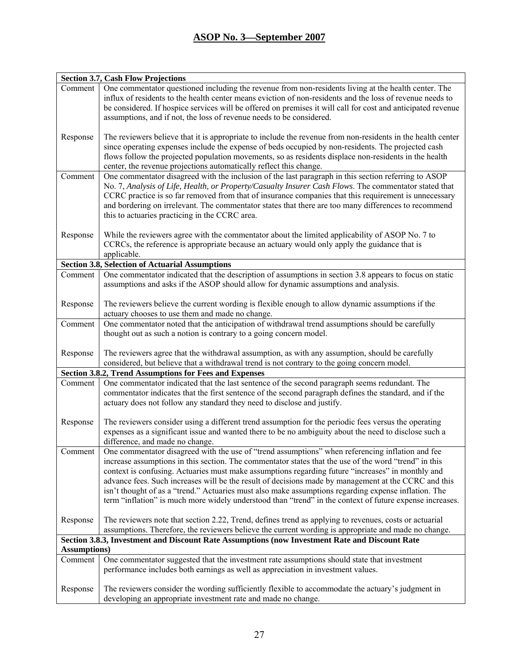|                                                                                                | <b>Section 3.7, Cash Flow Projections</b>                                                                                                                                                                                                                                                                                                                                                                                                                                                                                                                                                                                                  |
|------------------------------------------------------------------------------------------------|--------------------------------------------------------------------------------------------------------------------------------------------------------------------------------------------------------------------------------------------------------------------------------------------------------------------------------------------------------------------------------------------------------------------------------------------------------------------------------------------------------------------------------------------------------------------------------------------------------------------------------------------|
| Comment                                                                                        | One commentator questioned including the revenue from non-residents living at the health center. The<br>influx of residents to the health center means eviction of non-residents and the loss of revenue needs to<br>be considered. If hospice services will be offered on premises it will call for cost and anticipated revenue<br>assumptions, and if not, the loss of revenue needs to be considered.                                                                                                                                                                                                                                  |
| Response                                                                                       | The reviewers believe that it is appropriate to include the revenue from non-residents in the health center<br>since operating expenses include the expense of beds occupied by non-residents. The projected cash<br>flows follow the projected population movements, so as residents displace non-residents in the health<br>center, the revenue projections automatically reflect this change.                                                                                                                                                                                                                                           |
| Comment                                                                                        | One commentator disagreed with the inclusion of the last paragraph in this section referring to ASOP<br>No. 7, Analysis of Life, Health, or Property/Casualty Insurer Cash Flows. The commentator stated that<br>CCRC practice is so far removed from that of insurance companies that this requirement is unnecessary<br>and bordering on irrelevant. The commentator states that there are too many differences to recommend<br>this to actuaries practicing in the CCRC area.                                                                                                                                                           |
| Response                                                                                       | While the reviewers agree with the commentator about the limited applicability of ASOP No. 7 to<br>CCRCs, the reference is appropriate because an actuary would only apply the guidance that is<br>applicable.                                                                                                                                                                                                                                                                                                                                                                                                                             |
|                                                                                                | Section 3.8, Selection of Actuarial Assumptions                                                                                                                                                                                                                                                                                                                                                                                                                                                                                                                                                                                            |
| Comment                                                                                        | One commentator indicated that the description of assumptions in section 3.8 appears to focus on static<br>assumptions and asks if the ASOP should allow for dynamic assumptions and analysis.                                                                                                                                                                                                                                                                                                                                                                                                                                             |
| Response                                                                                       | The reviewers believe the current wording is flexible enough to allow dynamic assumptions if the<br>actuary chooses to use them and made no change.                                                                                                                                                                                                                                                                                                                                                                                                                                                                                        |
| Comment                                                                                        | One commentator noted that the anticipation of withdrawal trend assumptions should be carefully<br>thought out as such a notion is contrary to a going concern model.                                                                                                                                                                                                                                                                                                                                                                                                                                                                      |
| Response                                                                                       | The reviewers agree that the withdrawal assumption, as with any assumption, should be carefully<br>considered, but believe that a withdrawal trend is not contrary to the going concern model.                                                                                                                                                                                                                                                                                                                                                                                                                                             |
|                                                                                                | <b>Section 3.8.2, Trend Assumptions for Fees and Expenses</b>                                                                                                                                                                                                                                                                                                                                                                                                                                                                                                                                                                              |
| Comment                                                                                        | One commentator indicated that the last sentence of the second paragraph seems redundant. The<br>commentator indicates that the first sentence of the second paragraph defines the standard, and if the<br>actuary does not follow any standard they need to disclose and justify.                                                                                                                                                                                                                                                                                                                                                         |
| Response                                                                                       | The reviewers consider using a different trend assumption for the periodic fees versus the operating<br>expenses as a significant issue and wanted there to be no ambiguity about the need to disclose such a<br>difference, and made no change.                                                                                                                                                                                                                                                                                                                                                                                           |
| Comment                                                                                        | One commentator disagreed with the use of "trend assumptions" when referencing inflation and fee<br>increase assumptions in this section. The commentator states that the use of the word "trend" in this<br>context is confusing. Actuaries must make assumptions regarding future "increases" in monthly and<br>advance fees. Such increases will be the result of decisions made by management at the CCRC and this<br>isn't thought of as a "trend." Actuaries must also make assumptions regarding expense inflation. The<br>term "inflation" is much more widely understood than "trend" in the context of future expense increases. |
| Response                                                                                       | The reviewers note that section 2.22, Trend, defines trend as applying to revenues, costs or actuarial<br>assumptions. Therefore, the reviewers believe the current wording is appropriate and made no change.                                                                                                                                                                                                                                                                                                                                                                                                                             |
| Section 3.8.3, Investment and Discount Rate Assumptions (now Investment Rate and Discount Rate |                                                                                                                                                                                                                                                                                                                                                                                                                                                                                                                                                                                                                                            |
| <b>Assumptions</b> )                                                                           |                                                                                                                                                                                                                                                                                                                                                                                                                                                                                                                                                                                                                                            |
| Comment                                                                                        | One commentator suggested that the investment rate assumptions should state that investment<br>performance includes both earnings as well as appreciation in investment values.                                                                                                                                                                                                                                                                                                                                                                                                                                                            |
| Response                                                                                       | The reviewers consider the wording sufficiently flexible to accommodate the actuary's judgment in<br>developing an appropriate investment rate and made no change.                                                                                                                                                                                                                                                                                                                                                                                                                                                                         |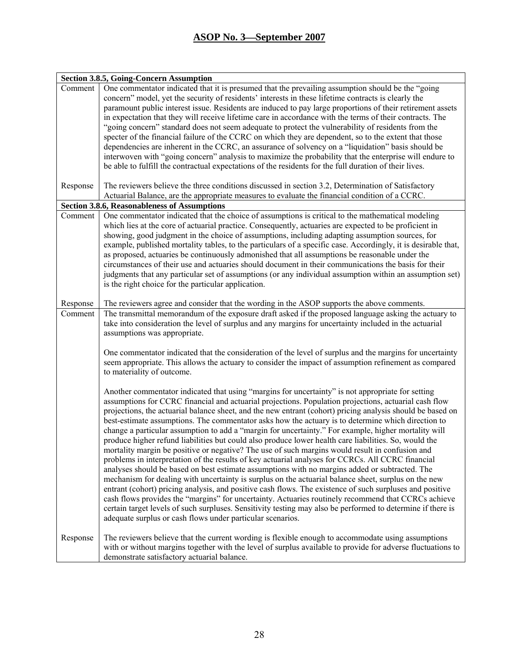| <b>Section 3.8.5, Going-Concern Assumption</b> |                                                                                                                                                                                                                                                                                                                                                                                                                                                                                                                                                                                                                                                                                                                                                                                                                                                                                                                                                                                                                                                                                                                                                                                                                                                                                                                                                                                                                                                                   |  |
|------------------------------------------------|-------------------------------------------------------------------------------------------------------------------------------------------------------------------------------------------------------------------------------------------------------------------------------------------------------------------------------------------------------------------------------------------------------------------------------------------------------------------------------------------------------------------------------------------------------------------------------------------------------------------------------------------------------------------------------------------------------------------------------------------------------------------------------------------------------------------------------------------------------------------------------------------------------------------------------------------------------------------------------------------------------------------------------------------------------------------------------------------------------------------------------------------------------------------------------------------------------------------------------------------------------------------------------------------------------------------------------------------------------------------------------------------------------------------------------------------------------------------|--|
| Comment                                        | One commentator indicated that it is presumed that the prevailing assumption should be the "going<br>concern" model, yet the security of residents' interests in these lifetime contracts is clearly the<br>paramount public interest issue. Residents are induced to pay large proportions of their retirement assets<br>in expectation that they will receive lifetime care in accordance with the terms of their contracts. The<br>"going concern" standard does not seem adequate to protect the vulnerability of residents from the<br>specter of the financial failure of the CCRC on which they are dependent, so to the extent that those<br>dependencies are inherent in the CCRC, an assurance of solvency on a "liquidation" basis should be<br>interwoven with "going concern" analysis to maximize the probability that the enterprise will endure to<br>be able to fulfill the contractual expectations of the residents for the full duration of their lives.                                                                                                                                                                                                                                                                                                                                                                                                                                                                                      |  |
| Response                                       | The reviewers believe the three conditions discussed in section 3.2, Determination of Satisfactory<br>Actuarial Balance, are the appropriate measures to evaluate the financial condition of a CCRC.                                                                                                                                                                                                                                                                                                                                                                                                                                                                                                                                                                                                                                                                                                                                                                                                                                                                                                                                                                                                                                                                                                                                                                                                                                                              |  |
|                                                | <b>Section 3.8.6, Reasonableness of Assumptions</b>                                                                                                                                                                                                                                                                                                                                                                                                                                                                                                                                                                                                                                                                                                                                                                                                                                                                                                                                                                                                                                                                                                                                                                                                                                                                                                                                                                                                               |  |
| Comment                                        | One commentator indicated that the choice of assumptions is critical to the mathematical modeling<br>which lies at the core of actuarial practice. Consequently, actuaries are expected to be proficient in<br>showing, good judgment in the choice of assumptions, including adapting assumption sources, for<br>example, published mortality tables, to the particulars of a specific case. Accordingly, it is desirable that,<br>as proposed, actuaries be continuously admonished that all assumptions be reasonable under the<br>circumstances of their use and actuaries should document in their communications the basis for their<br>judgments that any particular set of assumptions (or any individual assumption within an assumption set)<br>is the right choice for the particular application.                                                                                                                                                                                                                                                                                                                                                                                                                                                                                                                                                                                                                                                     |  |
| Response                                       | The reviewers agree and consider that the wording in the ASOP supports the above comments.                                                                                                                                                                                                                                                                                                                                                                                                                                                                                                                                                                                                                                                                                                                                                                                                                                                                                                                                                                                                                                                                                                                                                                                                                                                                                                                                                                        |  |
| Comment                                        | The transmittal memorandum of the exposure draft asked if the proposed language asking the actuary to<br>take into consideration the level of surplus and any margins for uncertainty included in the actuarial<br>assumptions was appropriate.                                                                                                                                                                                                                                                                                                                                                                                                                                                                                                                                                                                                                                                                                                                                                                                                                                                                                                                                                                                                                                                                                                                                                                                                                   |  |
|                                                | One commentator indicated that the consideration of the level of surplus and the margins for uncertainty<br>seem appropriate. This allows the actuary to consider the impact of assumption refinement as compared<br>to materiality of outcome.                                                                                                                                                                                                                                                                                                                                                                                                                                                                                                                                                                                                                                                                                                                                                                                                                                                                                                                                                                                                                                                                                                                                                                                                                   |  |
|                                                | Another commentator indicated that using "margins for uncertainty" is not appropriate for setting<br>assumptions for CCRC financial and actuarial projections. Population projections, actuarial cash flow<br>projections, the actuarial balance sheet, and the new entrant (cohort) pricing analysis should be based on<br>best-estimate assumptions. The commentator asks how the actuary is to determine which direction to<br>change a particular assumption to add a "margin for uncertainty." For example, higher mortality will<br>produce higher refund liabilities but could also produce lower health care liabilities. So, would the<br>mortality margin be positive or negative? The use of such margins would result in confusion and<br>problems in interpretation of the results of key actuarial analyses for CCRCs. All CCRC financial<br>analyses should be based on best estimate assumptions with no margins added or subtracted. The<br>mechanism for dealing with uncertainty is surplus on the actuarial balance sheet, surplus on the new<br>entrant (cohort) pricing analysis, and positive cash flows. The existence of such surpluses and positive<br>cash flows provides the "margins" for uncertainty. Actuaries routinely recommend that CCRCs achieve<br>certain target levels of such surpluses. Sensitivity testing may also be performed to determine if there is<br>adequate surplus or cash flows under particular scenarios. |  |
| Response                                       | The reviewers believe that the current wording is flexible enough to accommodate using assumptions<br>with or without margins together with the level of surplus available to provide for adverse fluctuations to<br>demonstrate satisfactory actuarial balance.                                                                                                                                                                                                                                                                                                                                                                                                                                                                                                                                                                                                                                                                                                                                                                                                                                                                                                                                                                                                                                                                                                                                                                                                  |  |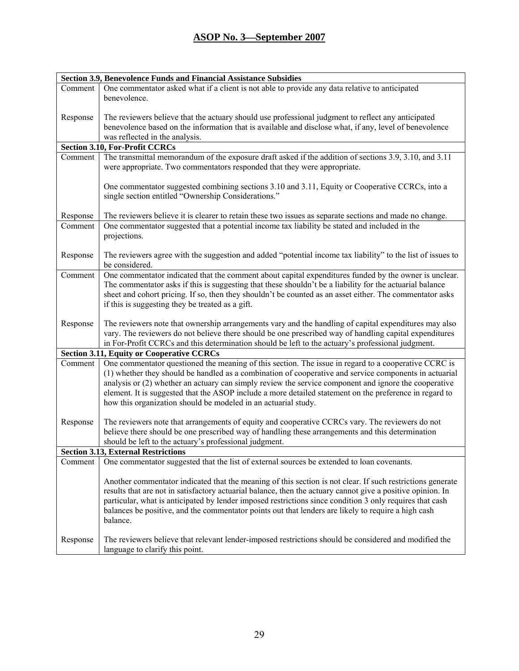| One commentator asked what if a client is not able to provide any data relative to anticipated<br>Comment<br>benevolence.<br>The reviewers believe that the actuary should use professional judgment to reflect any anticipated<br>Response<br>benevolence based on the information that is available and disclose what, if any, level of benevolence<br>was reflected in the analysis.<br><b>Section 3.10, For-Profit CCRCs</b><br>The transmittal memorandum of the exposure draft asked if the addition of sections 3.9, 3.10, and 3.11<br>Comment<br>were appropriate. Two commentators responded that they were appropriate.<br>One commentator suggested combining sections 3.10 and 3.11, Equity or Cooperative CCRCs, into a<br>single section entitled "Ownership Considerations."<br>The reviewers believe it is clearer to retain these two issues as separate sections and made no change.<br>Response<br>One commentator suggested that a potential income tax liability be stated and included in the<br>Comment<br>projections.<br>The reviewers agree with the suggestion and added "potential income tax liability" to the list of issues to<br>Response<br>be considered.<br>One commentator indicated that the comment about capital expenditures funded by the owner is unclear.<br>Comment<br>The commentator asks if this is suggesting that these shouldn't be a liability for the actuarial balance<br>sheet and cohort pricing. If so, then they shouldn't be counted as an asset either. The commentator asks<br>if this is suggesting they be treated as a gift.<br>The reviewers note that ownership arrangements vary and the handling of capital expenditures may also<br>Response<br>vary. The reviewers do not believe there should be one prescribed way of handling capital expenditures<br>in For-Profit CCRCs and this determination should be left to the actuary's professional judgment.<br><b>Section 3.11, Equity or Cooperative CCRCs</b><br>Comment<br>One commentator questioned the meaning of this section. The issue in regard to a cooperative CCRC is<br>(1) whether they should be handled as a combination of cooperative and service components in actuarial<br>analysis or (2) whether an actuary can simply review the service component and ignore the cooperative<br>element. It is suggested that the ASOP include a more detailed statement on the preference in regard to<br>how this organization should be modeled in an actuarial study.<br>The reviewers note that arrangements of equity and cooperative CCRCs vary. The reviewers do not<br>Response<br>believe there should be one prescribed way of handling these arrangements and this determination<br>should be left to the actuary's professional judgment.<br><b>Section 3.13, External Restrictions</b><br>One commentator suggested that the list of external sources be extended to loan covenants.<br>Comment<br>Another commentator indicated that the meaning of this section is not clear. If such restrictions generate<br>results that are not in satisfactory actuarial balance, then the actuary cannot give a positive opinion. In<br>particular, what is anticipated by lender imposed restrictions since condition 3 only requires that cash<br>balances be positive, and the commentator points out that lenders are likely to require a high cash<br>balance. | Section 3.9, Benevolence Funds and Financial Assistance Subsidies |  |  |
|--------------------------------------------------------------------------------------------------------------------------------------------------------------------------------------------------------------------------------------------------------------------------------------------------------------------------------------------------------------------------------------------------------------------------------------------------------------------------------------------------------------------------------------------------------------------------------------------------------------------------------------------------------------------------------------------------------------------------------------------------------------------------------------------------------------------------------------------------------------------------------------------------------------------------------------------------------------------------------------------------------------------------------------------------------------------------------------------------------------------------------------------------------------------------------------------------------------------------------------------------------------------------------------------------------------------------------------------------------------------------------------------------------------------------------------------------------------------------------------------------------------------------------------------------------------------------------------------------------------------------------------------------------------------------------------------------------------------------------------------------------------------------------------------------------------------------------------------------------------------------------------------------------------------------------------------------------------------------------------------------------------------------------------------------------------------------------------------------------------------------------------------------------------------------------------------------------------------------------------------------------------------------------------------------------------------------------------------------------------------------------------------------------------------------------------------------------------------------------------------------------------------------------------------------------------------------------------------------------------------------------------------------------------------------------------------------------------------------------------------------------------------------------------------------------------------------------------------------------------------------------------------------------------------------------------------------------------------------------------------------------------------------------------------------------------------------------------------------------------------------------------------------------------------------------------------------------------------------------------------------------------------------------------------------------------------------------------------------------------------------------------------------------|-------------------------------------------------------------------|--|--|
|                                                                                                                                                                                                                                                                                                                                                                                                                                                                                                                                                                                                                                                                                                                                                                                                                                                                                                                                                                                                                                                                                                                                                                                                                                                                                                                                                                                                                                                                                                                                                                                                                                                                                                                                                                                                                                                                                                                                                                                                                                                                                                                                                                                                                                                                                                                                                                                                                                                                                                                                                                                                                                                                                                                                                                                                                                                                                                                                                                                                                                                                                                                                                                                                                                                                                                                                                                                                        |                                                                   |  |  |
|                                                                                                                                                                                                                                                                                                                                                                                                                                                                                                                                                                                                                                                                                                                                                                                                                                                                                                                                                                                                                                                                                                                                                                                                                                                                                                                                                                                                                                                                                                                                                                                                                                                                                                                                                                                                                                                                                                                                                                                                                                                                                                                                                                                                                                                                                                                                                                                                                                                                                                                                                                                                                                                                                                                                                                                                                                                                                                                                                                                                                                                                                                                                                                                                                                                                                                                                                                                                        |                                                                   |  |  |
|                                                                                                                                                                                                                                                                                                                                                                                                                                                                                                                                                                                                                                                                                                                                                                                                                                                                                                                                                                                                                                                                                                                                                                                                                                                                                                                                                                                                                                                                                                                                                                                                                                                                                                                                                                                                                                                                                                                                                                                                                                                                                                                                                                                                                                                                                                                                                                                                                                                                                                                                                                                                                                                                                                                                                                                                                                                                                                                                                                                                                                                                                                                                                                                                                                                                                                                                                                                                        |                                                                   |  |  |
|                                                                                                                                                                                                                                                                                                                                                                                                                                                                                                                                                                                                                                                                                                                                                                                                                                                                                                                                                                                                                                                                                                                                                                                                                                                                                                                                                                                                                                                                                                                                                                                                                                                                                                                                                                                                                                                                                                                                                                                                                                                                                                                                                                                                                                                                                                                                                                                                                                                                                                                                                                                                                                                                                                                                                                                                                                                                                                                                                                                                                                                                                                                                                                                                                                                                                                                                                                                                        |                                                                   |  |  |
|                                                                                                                                                                                                                                                                                                                                                                                                                                                                                                                                                                                                                                                                                                                                                                                                                                                                                                                                                                                                                                                                                                                                                                                                                                                                                                                                                                                                                                                                                                                                                                                                                                                                                                                                                                                                                                                                                                                                                                                                                                                                                                                                                                                                                                                                                                                                                                                                                                                                                                                                                                                                                                                                                                                                                                                                                                                                                                                                                                                                                                                                                                                                                                                                                                                                                                                                                                                                        |                                                                   |  |  |
|                                                                                                                                                                                                                                                                                                                                                                                                                                                                                                                                                                                                                                                                                                                                                                                                                                                                                                                                                                                                                                                                                                                                                                                                                                                                                                                                                                                                                                                                                                                                                                                                                                                                                                                                                                                                                                                                                                                                                                                                                                                                                                                                                                                                                                                                                                                                                                                                                                                                                                                                                                                                                                                                                                                                                                                                                                                                                                                                                                                                                                                                                                                                                                                                                                                                                                                                                                                                        |                                                                   |  |  |
|                                                                                                                                                                                                                                                                                                                                                                                                                                                                                                                                                                                                                                                                                                                                                                                                                                                                                                                                                                                                                                                                                                                                                                                                                                                                                                                                                                                                                                                                                                                                                                                                                                                                                                                                                                                                                                                                                                                                                                                                                                                                                                                                                                                                                                                                                                                                                                                                                                                                                                                                                                                                                                                                                                                                                                                                                                                                                                                                                                                                                                                                                                                                                                                                                                                                                                                                                                                                        |                                                                   |  |  |
|                                                                                                                                                                                                                                                                                                                                                                                                                                                                                                                                                                                                                                                                                                                                                                                                                                                                                                                                                                                                                                                                                                                                                                                                                                                                                                                                                                                                                                                                                                                                                                                                                                                                                                                                                                                                                                                                                                                                                                                                                                                                                                                                                                                                                                                                                                                                                                                                                                                                                                                                                                                                                                                                                                                                                                                                                                                                                                                                                                                                                                                                                                                                                                                                                                                                                                                                                                                                        |                                                                   |  |  |
|                                                                                                                                                                                                                                                                                                                                                                                                                                                                                                                                                                                                                                                                                                                                                                                                                                                                                                                                                                                                                                                                                                                                                                                                                                                                                                                                                                                                                                                                                                                                                                                                                                                                                                                                                                                                                                                                                                                                                                                                                                                                                                                                                                                                                                                                                                                                                                                                                                                                                                                                                                                                                                                                                                                                                                                                                                                                                                                                                                                                                                                                                                                                                                                                                                                                                                                                                                                                        |                                                                   |  |  |
|                                                                                                                                                                                                                                                                                                                                                                                                                                                                                                                                                                                                                                                                                                                                                                                                                                                                                                                                                                                                                                                                                                                                                                                                                                                                                                                                                                                                                                                                                                                                                                                                                                                                                                                                                                                                                                                                                                                                                                                                                                                                                                                                                                                                                                                                                                                                                                                                                                                                                                                                                                                                                                                                                                                                                                                                                                                                                                                                                                                                                                                                                                                                                                                                                                                                                                                                                                                                        |                                                                   |  |  |
|                                                                                                                                                                                                                                                                                                                                                                                                                                                                                                                                                                                                                                                                                                                                                                                                                                                                                                                                                                                                                                                                                                                                                                                                                                                                                                                                                                                                                                                                                                                                                                                                                                                                                                                                                                                                                                                                                                                                                                                                                                                                                                                                                                                                                                                                                                                                                                                                                                                                                                                                                                                                                                                                                                                                                                                                                                                                                                                                                                                                                                                                                                                                                                                                                                                                                                                                                                                                        |                                                                   |  |  |
|                                                                                                                                                                                                                                                                                                                                                                                                                                                                                                                                                                                                                                                                                                                                                                                                                                                                                                                                                                                                                                                                                                                                                                                                                                                                                                                                                                                                                                                                                                                                                                                                                                                                                                                                                                                                                                                                                                                                                                                                                                                                                                                                                                                                                                                                                                                                                                                                                                                                                                                                                                                                                                                                                                                                                                                                                                                                                                                                                                                                                                                                                                                                                                                                                                                                                                                                                                                                        |                                                                   |  |  |
|                                                                                                                                                                                                                                                                                                                                                                                                                                                                                                                                                                                                                                                                                                                                                                                                                                                                                                                                                                                                                                                                                                                                                                                                                                                                                                                                                                                                                                                                                                                                                                                                                                                                                                                                                                                                                                                                                                                                                                                                                                                                                                                                                                                                                                                                                                                                                                                                                                                                                                                                                                                                                                                                                                                                                                                                                                                                                                                                                                                                                                                                                                                                                                                                                                                                                                                                                                                                        |                                                                   |  |  |
|                                                                                                                                                                                                                                                                                                                                                                                                                                                                                                                                                                                                                                                                                                                                                                                                                                                                                                                                                                                                                                                                                                                                                                                                                                                                                                                                                                                                                                                                                                                                                                                                                                                                                                                                                                                                                                                                                                                                                                                                                                                                                                                                                                                                                                                                                                                                                                                                                                                                                                                                                                                                                                                                                                                                                                                                                                                                                                                                                                                                                                                                                                                                                                                                                                                                                                                                                                                                        |                                                                   |  |  |
|                                                                                                                                                                                                                                                                                                                                                                                                                                                                                                                                                                                                                                                                                                                                                                                                                                                                                                                                                                                                                                                                                                                                                                                                                                                                                                                                                                                                                                                                                                                                                                                                                                                                                                                                                                                                                                                                                                                                                                                                                                                                                                                                                                                                                                                                                                                                                                                                                                                                                                                                                                                                                                                                                                                                                                                                                                                                                                                                                                                                                                                                                                                                                                                                                                                                                                                                                                                                        |                                                                   |  |  |
|                                                                                                                                                                                                                                                                                                                                                                                                                                                                                                                                                                                                                                                                                                                                                                                                                                                                                                                                                                                                                                                                                                                                                                                                                                                                                                                                                                                                                                                                                                                                                                                                                                                                                                                                                                                                                                                                                                                                                                                                                                                                                                                                                                                                                                                                                                                                                                                                                                                                                                                                                                                                                                                                                                                                                                                                                                                                                                                                                                                                                                                                                                                                                                                                                                                                                                                                                                                                        |                                                                   |  |  |
|                                                                                                                                                                                                                                                                                                                                                                                                                                                                                                                                                                                                                                                                                                                                                                                                                                                                                                                                                                                                                                                                                                                                                                                                                                                                                                                                                                                                                                                                                                                                                                                                                                                                                                                                                                                                                                                                                                                                                                                                                                                                                                                                                                                                                                                                                                                                                                                                                                                                                                                                                                                                                                                                                                                                                                                                                                                                                                                                                                                                                                                                                                                                                                                                                                                                                                                                                                                                        |                                                                   |  |  |
|                                                                                                                                                                                                                                                                                                                                                                                                                                                                                                                                                                                                                                                                                                                                                                                                                                                                                                                                                                                                                                                                                                                                                                                                                                                                                                                                                                                                                                                                                                                                                                                                                                                                                                                                                                                                                                                                                                                                                                                                                                                                                                                                                                                                                                                                                                                                                                                                                                                                                                                                                                                                                                                                                                                                                                                                                                                                                                                                                                                                                                                                                                                                                                                                                                                                                                                                                                                                        |                                                                   |  |  |
|                                                                                                                                                                                                                                                                                                                                                                                                                                                                                                                                                                                                                                                                                                                                                                                                                                                                                                                                                                                                                                                                                                                                                                                                                                                                                                                                                                                                                                                                                                                                                                                                                                                                                                                                                                                                                                                                                                                                                                                                                                                                                                                                                                                                                                                                                                                                                                                                                                                                                                                                                                                                                                                                                                                                                                                                                                                                                                                                                                                                                                                                                                                                                                                                                                                                                                                                                                                                        |                                                                   |  |  |
|                                                                                                                                                                                                                                                                                                                                                                                                                                                                                                                                                                                                                                                                                                                                                                                                                                                                                                                                                                                                                                                                                                                                                                                                                                                                                                                                                                                                                                                                                                                                                                                                                                                                                                                                                                                                                                                                                                                                                                                                                                                                                                                                                                                                                                                                                                                                                                                                                                                                                                                                                                                                                                                                                                                                                                                                                                                                                                                                                                                                                                                                                                                                                                                                                                                                                                                                                                                                        |                                                                   |  |  |
|                                                                                                                                                                                                                                                                                                                                                                                                                                                                                                                                                                                                                                                                                                                                                                                                                                                                                                                                                                                                                                                                                                                                                                                                                                                                                                                                                                                                                                                                                                                                                                                                                                                                                                                                                                                                                                                                                                                                                                                                                                                                                                                                                                                                                                                                                                                                                                                                                                                                                                                                                                                                                                                                                                                                                                                                                                                                                                                                                                                                                                                                                                                                                                                                                                                                                                                                                                                                        |                                                                   |  |  |
|                                                                                                                                                                                                                                                                                                                                                                                                                                                                                                                                                                                                                                                                                                                                                                                                                                                                                                                                                                                                                                                                                                                                                                                                                                                                                                                                                                                                                                                                                                                                                                                                                                                                                                                                                                                                                                                                                                                                                                                                                                                                                                                                                                                                                                                                                                                                                                                                                                                                                                                                                                                                                                                                                                                                                                                                                                                                                                                                                                                                                                                                                                                                                                                                                                                                                                                                                                                                        |                                                                   |  |  |
|                                                                                                                                                                                                                                                                                                                                                                                                                                                                                                                                                                                                                                                                                                                                                                                                                                                                                                                                                                                                                                                                                                                                                                                                                                                                                                                                                                                                                                                                                                                                                                                                                                                                                                                                                                                                                                                                                                                                                                                                                                                                                                                                                                                                                                                                                                                                                                                                                                                                                                                                                                                                                                                                                                                                                                                                                                                                                                                                                                                                                                                                                                                                                                                                                                                                                                                                                                                                        |                                                                   |  |  |
|                                                                                                                                                                                                                                                                                                                                                                                                                                                                                                                                                                                                                                                                                                                                                                                                                                                                                                                                                                                                                                                                                                                                                                                                                                                                                                                                                                                                                                                                                                                                                                                                                                                                                                                                                                                                                                                                                                                                                                                                                                                                                                                                                                                                                                                                                                                                                                                                                                                                                                                                                                                                                                                                                                                                                                                                                                                                                                                                                                                                                                                                                                                                                                                                                                                                                                                                                                                                        |                                                                   |  |  |
|                                                                                                                                                                                                                                                                                                                                                                                                                                                                                                                                                                                                                                                                                                                                                                                                                                                                                                                                                                                                                                                                                                                                                                                                                                                                                                                                                                                                                                                                                                                                                                                                                                                                                                                                                                                                                                                                                                                                                                                                                                                                                                                                                                                                                                                                                                                                                                                                                                                                                                                                                                                                                                                                                                                                                                                                                                                                                                                                                                                                                                                                                                                                                                                                                                                                                                                                                                                                        |                                                                   |  |  |
|                                                                                                                                                                                                                                                                                                                                                                                                                                                                                                                                                                                                                                                                                                                                                                                                                                                                                                                                                                                                                                                                                                                                                                                                                                                                                                                                                                                                                                                                                                                                                                                                                                                                                                                                                                                                                                                                                                                                                                                                                                                                                                                                                                                                                                                                                                                                                                                                                                                                                                                                                                                                                                                                                                                                                                                                                                                                                                                                                                                                                                                                                                                                                                                                                                                                                                                                                                                                        |                                                                   |  |  |
|                                                                                                                                                                                                                                                                                                                                                                                                                                                                                                                                                                                                                                                                                                                                                                                                                                                                                                                                                                                                                                                                                                                                                                                                                                                                                                                                                                                                                                                                                                                                                                                                                                                                                                                                                                                                                                                                                                                                                                                                                                                                                                                                                                                                                                                                                                                                                                                                                                                                                                                                                                                                                                                                                                                                                                                                                                                                                                                                                                                                                                                                                                                                                                                                                                                                                                                                                                                                        |                                                                   |  |  |
|                                                                                                                                                                                                                                                                                                                                                                                                                                                                                                                                                                                                                                                                                                                                                                                                                                                                                                                                                                                                                                                                                                                                                                                                                                                                                                                                                                                                                                                                                                                                                                                                                                                                                                                                                                                                                                                                                                                                                                                                                                                                                                                                                                                                                                                                                                                                                                                                                                                                                                                                                                                                                                                                                                                                                                                                                                                                                                                                                                                                                                                                                                                                                                                                                                                                                                                                                                                                        |                                                                   |  |  |
|                                                                                                                                                                                                                                                                                                                                                                                                                                                                                                                                                                                                                                                                                                                                                                                                                                                                                                                                                                                                                                                                                                                                                                                                                                                                                                                                                                                                                                                                                                                                                                                                                                                                                                                                                                                                                                                                                                                                                                                                                                                                                                                                                                                                                                                                                                                                                                                                                                                                                                                                                                                                                                                                                                                                                                                                                                                                                                                                                                                                                                                                                                                                                                                                                                                                                                                                                                                                        |                                                                   |  |  |
|                                                                                                                                                                                                                                                                                                                                                                                                                                                                                                                                                                                                                                                                                                                                                                                                                                                                                                                                                                                                                                                                                                                                                                                                                                                                                                                                                                                                                                                                                                                                                                                                                                                                                                                                                                                                                                                                                                                                                                                                                                                                                                                                                                                                                                                                                                                                                                                                                                                                                                                                                                                                                                                                                                                                                                                                                                                                                                                                                                                                                                                                                                                                                                                                                                                                                                                                                                                                        |                                                                   |  |  |
|                                                                                                                                                                                                                                                                                                                                                                                                                                                                                                                                                                                                                                                                                                                                                                                                                                                                                                                                                                                                                                                                                                                                                                                                                                                                                                                                                                                                                                                                                                                                                                                                                                                                                                                                                                                                                                                                                                                                                                                                                                                                                                                                                                                                                                                                                                                                                                                                                                                                                                                                                                                                                                                                                                                                                                                                                                                                                                                                                                                                                                                                                                                                                                                                                                                                                                                                                                                                        |                                                                   |  |  |
|                                                                                                                                                                                                                                                                                                                                                                                                                                                                                                                                                                                                                                                                                                                                                                                                                                                                                                                                                                                                                                                                                                                                                                                                                                                                                                                                                                                                                                                                                                                                                                                                                                                                                                                                                                                                                                                                                                                                                                                                                                                                                                                                                                                                                                                                                                                                                                                                                                                                                                                                                                                                                                                                                                                                                                                                                                                                                                                                                                                                                                                                                                                                                                                                                                                                                                                                                                                                        |                                                                   |  |  |
|                                                                                                                                                                                                                                                                                                                                                                                                                                                                                                                                                                                                                                                                                                                                                                                                                                                                                                                                                                                                                                                                                                                                                                                                                                                                                                                                                                                                                                                                                                                                                                                                                                                                                                                                                                                                                                                                                                                                                                                                                                                                                                                                                                                                                                                                                                                                                                                                                                                                                                                                                                                                                                                                                                                                                                                                                                                                                                                                                                                                                                                                                                                                                                                                                                                                                                                                                                                                        |                                                                   |  |  |
|                                                                                                                                                                                                                                                                                                                                                                                                                                                                                                                                                                                                                                                                                                                                                                                                                                                                                                                                                                                                                                                                                                                                                                                                                                                                                                                                                                                                                                                                                                                                                                                                                                                                                                                                                                                                                                                                                                                                                                                                                                                                                                                                                                                                                                                                                                                                                                                                                                                                                                                                                                                                                                                                                                                                                                                                                                                                                                                                                                                                                                                                                                                                                                                                                                                                                                                                                                                                        |                                                                   |  |  |
|                                                                                                                                                                                                                                                                                                                                                                                                                                                                                                                                                                                                                                                                                                                                                                                                                                                                                                                                                                                                                                                                                                                                                                                                                                                                                                                                                                                                                                                                                                                                                                                                                                                                                                                                                                                                                                                                                                                                                                                                                                                                                                                                                                                                                                                                                                                                                                                                                                                                                                                                                                                                                                                                                                                                                                                                                                                                                                                                                                                                                                                                                                                                                                                                                                                                                                                                                                                                        |                                                                   |  |  |
|                                                                                                                                                                                                                                                                                                                                                                                                                                                                                                                                                                                                                                                                                                                                                                                                                                                                                                                                                                                                                                                                                                                                                                                                                                                                                                                                                                                                                                                                                                                                                                                                                                                                                                                                                                                                                                                                                                                                                                                                                                                                                                                                                                                                                                                                                                                                                                                                                                                                                                                                                                                                                                                                                                                                                                                                                                                                                                                                                                                                                                                                                                                                                                                                                                                                                                                                                                                                        |                                                                   |  |  |
|                                                                                                                                                                                                                                                                                                                                                                                                                                                                                                                                                                                                                                                                                                                                                                                                                                                                                                                                                                                                                                                                                                                                                                                                                                                                                                                                                                                                                                                                                                                                                                                                                                                                                                                                                                                                                                                                                                                                                                                                                                                                                                                                                                                                                                                                                                                                                                                                                                                                                                                                                                                                                                                                                                                                                                                                                                                                                                                                                                                                                                                                                                                                                                                                                                                                                                                                                                                                        |                                                                   |  |  |
|                                                                                                                                                                                                                                                                                                                                                                                                                                                                                                                                                                                                                                                                                                                                                                                                                                                                                                                                                                                                                                                                                                                                                                                                                                                                                                                                                                                                                                                                                                                                                                                                                                                                                                                                                                                                                                                                                                                                                                                                                                                                                                                                                                                                                                                                                                                                                                                                                                                                                                                                                                                                                                                                                                                                                                                                                                                                                                                                                                                                                                                                                                                                                                                                                                                                                                                                                                                                        |                                                                   |  |  |
|                                                                                                                                                                                                                                                                                                                                                                                                                                                                                                                                                                                                                                                                                                                                                                                                                                                                                                                                                                                                                                                                                                                                                                                                                                                                                                                                                                                                                                                                                                                                                                                                                                                                                                                                                                                                                                                                                                                                                                                                                                                                                                                                                                                                                                                                                                                                                                                                                                                                                                                                                                                                                                                                                                                                                                                                                                                                                                                                                                                                                                                                                                                                                                                                                                                                                                                                                                                                        |                                                                   |  |  |
|                                                                                                                                                                                                                                                                                                                                                                                                                                                                                                                                                                                                                                                                                                                                                                                                                                                                                                                                                                                                                                                                                                                                                                                                                                                                                                                                                                                                                                                                                                                                                                                                                                                                                                                                                                                                                                                                                                                                                                                                                                                                                                                                                                                                                                                                                                                                                                                                                                                                                                                                                                                                                                                                                                                                                                                                                                                                                                                                                                                                                                                                                                                                                                                                                                                                                                                                                                                                        |                                                                   |  |  |
|                                                                                                                                                                                                                                                                                                                                                                                                                                                                                                                                                                                                                                                                                                                                                                                                                                                                                                                                                                                                                                                                                                                                                                                                                                                                                                                                                                                                                                                                                                                                                                                                                                                                                                                                                                                                                                                                                                                                                                                                                                                                                                                                                                                                                                                                                                                                                                                                                                                                                                                                                                                                                                                                                                                                                                                                                                                                                                                                                                                                                                                                                                                                                                                                                                                                                                                                                                                                        |                                                                   |  |  |
|                                                                                                                                                                                                                                                                                                                                                                                                                                                                                                                                                                                                                                                                                                                                                                                                                                                                                                                                                                                                                                                                                                                                                                                                                                                                                                                                                                                                                                                                                                                                                                                                                                                                                                                                                                                                                                                                                                                                                                                                                                                                                                                                                                                                                                                                                                                                                                                                                                                                                                                                                                                                                                                                                                                                                                                                                                                                                                                                                                                                                                                                                                                                                                                                                                                                                                                                                                                                        |                                                                   |  |  |
|                                                                                                                                                                                                                                                                                                                                                                                                                                                                                                                                                                                                                                                                                                                                                                                                                                                                                                                                                                                                                                                                                                                                                                                                                                                                                                                                                                                                                                                                                                                                                                                                                                                                                                                                                                                                                                                                                                                                                                                                                                                                                                                                                                                                                                                                                                                                                                                                                                                                                                                                                                                                                                                                                                                                                                                                                                                                                                                                                                                                                                                                                                                                                                                                                                                                                                                                                                                                        |                                                                   |  |  |
|                                                                                                                                                                                                                                                                                                                                                                                                                                                                                                                                                                                                                                                                                                                                                                                                                                                                                                                                                                                                                                                                                                                                                                                                                                                                                                                                                                                                                                                                                                                                                                                                                                                                                                                                                                                                                                                                                                                                                                                                                                                                                                                                                                                                                                                                                                                                                                                                                                                                                                                                                                                                                                                                                                                                                                                                                                                                                                                                                                                                                                                                                                                                                                                                                                                                                                                                                                                                        |                                                                   |  |  |
|                                                                                                                                                                                                                                                                                                                                                                                                                                                                                                                                                                                                                                                                                                                                                                                                                                                                                                                                                                                                                                                                                                                                                                                                                                                                                                                                                                                                                                                                                                                                                                                                                                                                                                                                                                                                                                                                                                                                                                                                                                                                                                                                                                                                                                                                                                                                                                                                                                                                                                                                                                                                                                                                                                                                                                                                                                                                                                                                                                                                                                                                                                                                                                                                                                                                                                                                                                                                        |                                                                   |  |  |
| The reviewers believe that relevant lender-imposed restrictions should be considered and modified the<br>Response                                                                                                                                                                                                                                                                                                                                                                                                                                                                                                                                                                                                                                                                                                                                                                                                                                                                                                                                                                                                                                                                                                                                                                                                                                                                                                                                                                                                                                                                                                                                                                                                                                                                                                                                                                                                                                                                                                                                                                                                                                                                                                                                                                                                                                                                                                                                                                                                                                                                                                                                                                                                                                                                                                                                                                                                                                                                                                                                                                                                                                                                                                                                                                                                                                                                                      |                                                                   |  |  |
| language to clarify this point.                                                                                                                                                                                                                                                                                                                                                                                                                                                                                                                                                                                                                                                                                                                                                                                                                                                                                                                                                                                                                                                                                                                                                                                                                                                                                                                                                                                                                                                                                                                                                                                                                                                                                                                                                                                                                                                                                                                                                                                                                                                                                                                                                                                                                                                                                                                                                                                                                                                                                                                                                                                                                                                                                                                                                                                                                                                                                                                                                                                                                                                                                                                                                                                                                                                                                                                                                                        |                                                                   |  |  |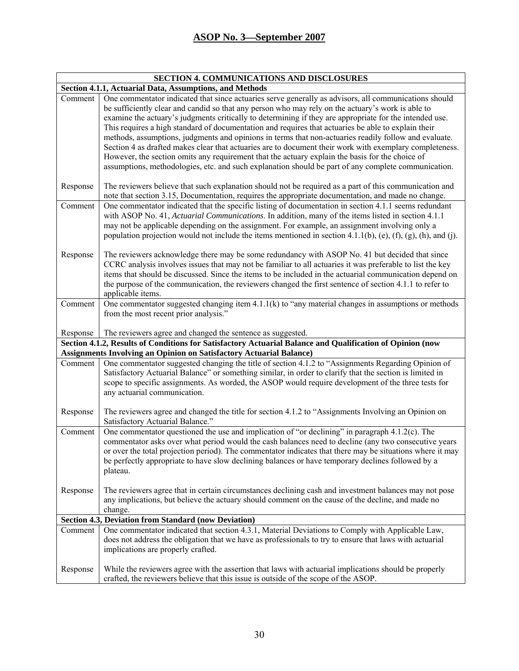| SECTION 4. COMMUNICATIONS AND DISCLOSURES                                                                                                                                                   |                                                                                                                                                                                                                                                                                                                                                                                                                                                                                                                                                                                                                                                                                                                                                                                                                                                            |  |
|---------------------------------------------------------------------------------------------------------------------------------------------------------------------------------------------|------------------------------------------------------------------------------------------------------------------------------------------------------------------------------------------------------------------------------------------------------------------------------------------------------------------------------------------------------------------------------------------------------------------------------------------------------------------------------------------------------------------------------------------------------------------------------------------------------------------------------------------------------------------------------------------------------------------------------------------------------------------------------------------------------------------------------------------------------------|--|
| Section 4.1.1, Actuarial Data, Assumptions, and Methods                                                                                                                                     |                                                                                                                                                                                                                                                                                                                                                                                                                                                                                                                                                                                                                                                                                                                                                                                                                                                            |  |
| Comment                                                                                                                                                                                     | One commentator indicated that since actuaries serve generally as advisors, all communications should<br>be sufficiently clear and candid so that any person who may rely on the actuary's work is able to<br>examine the actuary's judgments critically to determining if they are appropriate for the intended use.<br>This requires a high standard of documentation and requires that actuaries be able to explain their<br>methods, assumptions, judgments and opinions in terms that non-actuaries readily follow and evaluate.<br>Section 4 as drafted makes clear that actuaries are to document their work with exemplary completeness.<br>However, the section omits any requirement that the actuary explain the basis for the choice of<br>assumptions, methodologies, etc. and such explanation should be part of any complete communication. |  |
| Response                                                                                                                                                                                    | The reviewers believe that such explanation should not be required as a part of this communication and<br>note that section 3.15, Documentation, requires the appropriate documentation, and made no change.                                                                                                                                                                                                                                                                                                                                                                                                                                                                                                                                                                                                                                               |  |
| Comment                                                                                                                                                                                     | One commentator indicated that the specific listing of documentation in section 4.1.1 seems redundant<br>with ASOP No. 41, <i>Actuarial Communications</i> . In addition, many of the items listed in section 4.1.1<br>may not be applicable depending on the assignment. For example, an assignment involving only a<br>population projection would not include the items mentioned in section 4.1.1(b), (e), (f), (g), (h), and (j).                                                                                                                                                                                                                                                                                                                                                                                                                     |  |
| Response                                                                                                                                                                                    | The reviewers acknowledge there may be some redundancy with ASOP No. 41 but decided that since<br>CCRC analysis involves issues that may not be familiar to all actuaries it was preferable to list the key<br>items that should be discussed. Since the items to be included in the actuarial communication depend on<br>the purpose of the communication, the reviewers changed the first sentence of section 4.1.1 to refer to<br>applicable items.                                                                                                                                                                                                                                                                                                                                                                                                     |  |
| Comment                                                                                                                                                                                     | One commentator suggested changing item $4.1.1(k)$ to "any material changes in assumptions or methods                                                                                                                                                                                                                                                                                                                                                                                                                                                                                                                                                                                                                                                                                                                                                      |  |
|                                                                                                                                                                                             | from the most recent prior analysis."                                                                                                                                                                                                                                                                                                                                                                                                                                                                                                                                                                                                                                                                                                                                                                                                                      |  |
|                                                                                                                                                                                             |                                                                                                                                                                                                                                                                                                                                                                                                                                                                                                                                                                                                                                                                                                                                                                                                                                                            |  |
| Response                                                                                                                                                                                    | The reviewers agree and changed the sentence as suggested.                                                                                                                                                                                                                                                                                                                                                                                                                                                                                                                                                                                                                                                                                                                                                                                                 |  |
|                                                                                                                                                                                             | Section 4.1.2, Results of Conditions for Satisfactory Actuarial Balance and Qualification of Opinion (now                                                                                                                                                                                                                                                                                                                                                                                                                                                                                                                                                                                                                                                                                                                                                  |  |
| <b>Assignments Involving an Opinion on Satisfactory Actuarial Balance)</b><br>One commentator suggested changing the title of section 4.1.2 to "Assignments Regarding Opinion of<br>Comment |                                                                                                                                                                                                                                                                                                                                                                                                                                                                                                                                                                                                                                                                                                                                                                                                                                                            |  |
|                                                                                                                                                                                             | Satisfactory Actuarial Balance" or something similar, in order to clarify that the section is limited in<br>scope to specific assignments. As worded, the ASOP would require development of the three tests for<br>any actuarial communication.                                                                                                                                                                                                                                                                                                                                                                                                                                                                                                                                                                                                            |  |
| Response                                                                                                                                                                                    | The reviewers agree and changed the title for section 4.1.2 to "Assignments Involving an Opinion on<br>Satisfactory Actuarial Balance."                                                                                                                                                                                                                                                                                                                                                                                                                                                                                                                                                                                                                                                                                                                    |  |
| Comment                                                                                                                                                                                     | One commentator questioned the use and implication of "or declining" in paragraph 4.1.2(c). The<br>commentator asks over what period would the cash balances need to decline (any two consecutive years<br>or over the total projection period). The commentator indicates that there may be situations where it may<br>be perfectly appropriate to have slow declining balances or have temporary declines followed by a<br>plateau.                                                                                                                                                                                                                                                                                                                                                                                                                      |  |
| Response                                                                                                                                                                                    | The reviewers agree that in certain circumstances declining cash and investment balances may not pose<br>any implications, but believe the actuary should comment on the cause of the decline, and made no<br>change.                                                                                                                                                                                                                                                                                                                                                                                                                                                                                                                                                                                                                                      |  |
|                                                                                                                                                                                             | <b>Section 4.3, Deviation from Standard (now Deviation)</b>                                                                                                                                                                                                                                                                                                                                                                                                                                                                                                                                                                                                                                                                                                                                                                                                |  |
| Comment                                                                                                                                                                                     | One commentator indicated that section 4.3.1, Material Deviations to Comply with Applicable Law,                                                                                                                                                                                                                                                                                                                                                                                                                                                                                                                                                                                                                                                                                                                                                           |  |
|                                                                                                                                                                                             | does not address the obligation that we have as professionals to try to ensure that laws with actuarial<br>implications are properly crafted.                                                                                                                                                                                                                                                                                                                                                                                                                                                                                                                                                                                                                                                                                                              |  |
| Response                                                                                                                                                                                    | While the reviewers agree with the assertion that laws with actuarial implications should be properly<br>crafted, the reviewers believe that this issue is outside of the scope of the ASOP.                                                                                                                                                                                                                                                                                                                                                                                                                                                                                                                                                                                                                                                               |  |